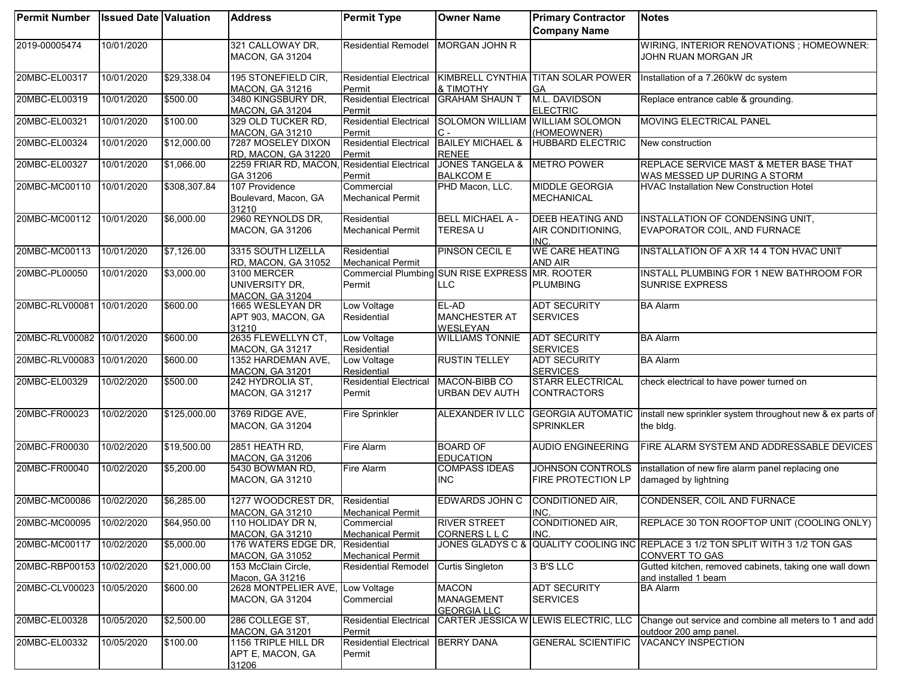| <b>Permit Number</b>      | <b>Issued Date Valuation</b> |              | <b>Address</b>                                          | <b>Permit Type</b>                      | <b>Owner Name</b>                                       | <b>Primary Contractor</b>                            | <b>Notes</b>                                                                                      |
|---------------------------|------------------------------|--------------|---------------------------------------------------------|-----------------------------------------|---------------------------------------------------------|------------------------------------------------------|---------------------------------------------------------------------------------------------------|
|                           |                              |              |                                                         |                                         |                                                         | <b>Company Name</b>                                  |                                                                                                   |
| 2019-00005474             | 10/01/2020                   |              | 321 CALLOWAY DR,<br>MACON, GA 31204                     | <b>Residential Remodel</b>              | <b>MORGAN JOHN R</b>                                    |                                                      | WIRING, INTERIOR RENOVATIONS; HOMEOWNER:<br>JOHN RUAN MORGAN JR                                   |
| 20MBC-EL00317             | 10/01/2020                   | \$29,338.04  | 195 STONEFIELD CIR,<br><b>MACON, GA 31216</b>           | <b>Residential Electrical</b><br>Permit | <b>&amp; TIMOTHY</b>                                    | KIMBRELL CYNTHIA TITAN SOLAR POWER<br><b>GA</b>      | Installation of a 7.260kW dc system                                                               |
| 20MBC-EL00319             | 10/01/2020                   | \$500.00     | 3480 KINGSBURY DR,<br>MACON, GA 31204                   | <b>Residential Electrical</b><br>Permit | <b>GRAHAM SHAUN T</b>                                   | M.L. DAVIDSON<br><b>ELECTRIC</b>                     | Replace entrance cable & grounding.                                                               |
| 20MBC-EL00321             | 10/01/2020                   | \$100.00     | 329 OLD TUCKER RD,<br><b>MACON, GA 31210</b>            | <b>Residential Electrical</b><br>Permit | SOLOMON WILLIAM WILLIAM SOLOMON                         | (HOMEOWNER)                                          | MOVING ELECTRICAL PANEL                                                                           |
| 20MBC-EL00324             | 10/01/2020                   | \$12,000.00  | 7287 MOSELEY DIXON<br>RD, MACON, GA 31220               | <b>Residential Electrical</b><br>Permit | <b>BAILEY MICHAEL &amp;</b><br><b>RENEE</b>             | <b>HUBBARD ELECTRIC</b>                              | New construction                                                                                  |
| 20MBC-EL00327             | 10/01/2020                   | \$1,066.00   | 2259 FRIAR RD, MACON,<br>GA 31206                       | <b>Residential Electrical</b><br>Permit | <b>JONES TANGELA &amp;</b><br><b>BALKCOM E</b>          | <b>METRO POWER</b>                                   | <b>REPLACE SERVICE MAST &amp; METER BASE THAT</b><br>WAS MESSED UP DURING A STORM                 |
| 20MBC-MC00110             | 10/01/2020                   | \$308,307.84 | 107 Providence<br>Boulevard, Macon, GA<br>31210         | Commercial<br><b>Mechanical Permit</b>  | PHD Macon, LLC.                                         | <b>MIDDLE GEORGIA</b><br><b>MECHANICAL</b>           | <b>HVAC Installation New Construction Hotel</b>                                                   |
| 20MBC-MC00112             | 10/01/2020                   | \$6,000.00   | 2960 REYNOLDS DR,<br>MACON, GA 31206                    | Residential<br><b>Mechanical Permit</b> | <b>BELL MICHAEL A -</b><br><b>TERESAU</b>               | <b>DEEB HEATING AND</b><br>AIR CONDITIONING,<br>INC. | INSTALLATION OF CONDENSING UNIT,<br>EVAPORATOR COIL, AND FURNACE                                  |
| 20MBC-MC00113             | 10/01/2020                   | \$7,126.00   | 3315 SOUTH LIZELLA<br>RD, MACON, GA 31052               | Residential<br><b>Mechanical Permit</b> | PINSON CECIL E                                          | <b>WE CARE HEATING</b><br><b>AND AIR</b>             | INSTALLATION OF A XR 14 4 TON HVAC UNIT                                                           |
| 20MBC-PL00050             | 10/01/2020                   | \$3,000.00   | 3100 MERCER<br>UNIVERSITY DR.<br><b>MACON, GA 31204</b> | Permit                                  | Commercial Plumbing SUN RISE EXPRESS MR. ROOTER<br>LLC. | <b>PLUMBING</b>                                      | INSTALL PLUMBING FOR 1 NEW BATHROOM FOR<br><b>SUNRISE EXPRESS</b>                                 |
| 20MBC-RLV00081 10/01/2020 |                              | \$600.00     | 1665 WESLEYAN DR<br>APT 903, MACON, GA<br>31210         | Low Voltage<br>Residential              | EL-AD<br><b>MANCHESTER AT</b><br><b>WESLEYAN</b>        | <b>ADT SECURITY</b><br><b>SERVICES</b>               | <b>BA Alarm</b>                                                                                   |
| 20MBC-RLV00082 10/01/2020 |                              | \$600.00     | 2635 FLEWELLYN CT,<br>MACON, GA 31217                   | Low Voltage<br>Residential              | <b>WILLIAMS TONNIE</b>                                  | <b>ADT SECURITY</b><br><b>SERVICES</b>               | <b>BA Alarm</b>                                                                                   |
| 20MBC-RLV00083 10/01/2020 |                              | \$600.00     | 1352 HARDEMAN AVE,<br><b>MACON, GA 31201</b>            | Low Voltage<br>Residential              | <b>RUSTIN TELLEY</b>                                    | <b>ADT SECURITY</b><br><b>SERVICES</b>               | <b>BA Alarm</b>                                                                                   |
| 20MBC-EL00329             | 10/02/2020                   | \$500.00     | 242 HYDROLIA ST,<br><b>MACON, GA 31217</b>              | <b>Residential Electrical</b><br>Permit | MACON-BIBB CO<br>URBAN DEV AUTH                         | <b>STARR ELECTRICAL</b><br><b>CONTRACTORS</b>        | check electrical to have power turned on                                                          |
| 20MBC-FR00023             | 10/02/2020                   | \$125,000.00 | 3769 RIDGE AVE,<br>MACON, GA 31204                      | <b>Fire Sprinkler</b>                   | ALEXANDER IV LLC                                        | <b>GEORGIA AUTOMATIC</b><br><b>SPRINKLER</b>         | install new sprinkler system throughout new & ex parts of<br>the bldg.                            |
| 20MBC-FR00030             | 10/02/2020                   | \$19,500.00  | 2851 HEATH RD,<br><b>MACON, GA 31206</b>                | Fire Alarm                              | <b>BOARD OF</b><br><b>EDUCATION</b>                     | <b>AUDIO ENGINEERING</b>                             | FIRE ALARM SYSTEM AND ADDRESSABLE DEVICES                                                         |
| 20MBC-FR00040             | 10/02/2020                   | \$5,200.00   | 5430 BOWMAN RD,<br>MACON, GA 31210                      | <b>Fire Alarm</b>                       | <b>COMPASS IDEAS</b><br><b>INC</b>                      | <b>JOHNSON CONTROLS</b><br>FIRE PROTECTION LP        | installation of new fire alarm panel replacing one<br>damaged by lightning                        |
| 20MBC-MC00086             | 10/02/2020                   | \$6,285.00   | 1277 WOODCREST DR.<br><b>MACON, GA 31210</b>            | Residential<br><b>Mechanical Permit</b> | <b>EDWARDS JOHN C</b>                                   | CONDITIONED AIR,<br>INC.                             | CONDENSER, COIL AND FURNACE                                                                       |
| 20MBC-MC00095             | 10/02/2020                   | \$64,950.00  | 110 HOLIDAY DR N,<br>MACON, GA 31210                    | Commercial<br><b>Mechanical Permit</b>  | <b>RIVER STREET</b><br>CORNERS L L C                    | CONDITIONED AIR.<br>INC.                             | REPLACE 30 TON ROOFTOP UNIT (COOLING ONLY)                                                        |
| 20MBC-MC00117             | 10/02/2020                   | \$5,000.00   | 176 WATERS EDGE DR,<br><b>MACON, GA 31052</b>           | Residential<br><b>Mechanical Permit</b> |                                                         |                                                      | JONES GLADYS C & QUALITY COOLING INC REPLACE 3 1/2 TON SPLIT WITH 3 1/2 TON GAS<br>CONVERT TO GAS |
| 20MBC-RBP00153 10/02/2020 |                              | \$21,000.00  | 153 McClain Circle,<br>Macon, GA 31216                  | <b>Residential Remodel</b>              | <b>Curtis Singleton</b>                                 | 3 B'S LLC                                            | Gutted kitchen, removed cabinets, taking one wall down<br>and installed 1 beam                    |
| 20MBC-CLV00023 10/05/2020 |                              | \$600.00     | 2628 MONTPELIER AVE,<br><b>MACON, GA 31204</b>          | Low Voltage<br>Commercial               | <b>MACON</b><br><b>MANAGEMENT</b><br><b>GEORGIA LLC</b> | <b>ADT SECURITY</b><br><b>SERVICES</b>               | <b>BA Alarm</b>                                                                                   |
| 20MBC-EL00328             | 10/05/2020                   | \$2,500.00   | 286 COLLEGE ST,<br><b>MACON, GA 31201</b>               | <b>Residential Electrical</b><br>Permit |                                                         | CARTER JESSICA W LEWIS ELECTRIC, LLC                 | Change out service and combine all meters to 1 and add<br>outdoor 200 amp panel.                  |
| 20MBC-EL00332             | 10/05/2020                   | \$100.00     | 1156 TRIPLE HILL DR<br>APT E, MACON, GA<br>31206        | <b>Residential Electrical</b><br>Permit | <b>BERRY DANA</b>                                       | <b>GENERAL SCIENTIFIC</b>                            | VACANCY INSPECTION                                                                                |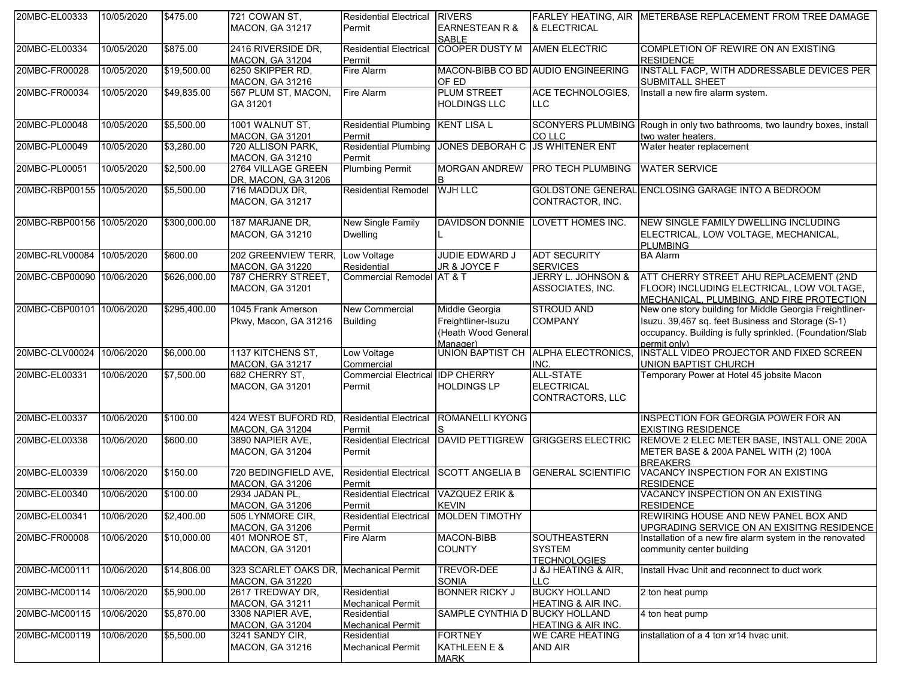| 20MBC-EL00333             | 10/05/2020 | \$475.00     | 721 COWAN ST,          | <b>Residential Electrical</b>         | <b>RIVERS</b>                  |                                    | FARLEY HEATING. AIR IMETERBASE REPLACEMENT FROM TREE DAMAGE               |
|---------------------------|------------|--------------|------------------------|---------------------------------------|--------------------------------|------------------------------------|---------------------------------------------------------------------------|
|                           |            |              | <b>MACON, GA 31217</b> | Permit                                | <b>EARNESTEAN R &amp;</b>      | & ELECTRICAL                       |                                                                           |
|                           |            |              |                        |                                       | <b>SABLE</b>                   |                                    |                                                                           |
| 20MBC-EL00334             | 10/05/2020 | \$875.00     | 2416 RIVERSIDE DR,     | <b>Residential Electrical</b>         | <b>COOPER DUSTY M</b>          | <b>AMEN ELECTRIC</b>               | COMPLETION OF REWIRE ON AN EXISTING                                       |
|                           |            |              | <b>MACON, GA 31204</b> | Permit                                |                                |                                    | <b>RESIDENCE</b>                                                          |
| 20MBC-FR00028             | 10/05/2020 | \$19,500.00  | 6250 SKIPPER RD,       | Fire Alarm                            |                                | MACON-BIBB CO BD AUDIO ENGINEERING | INSTALL FACP, WITH ADDRESSABLE DEVICES PER                                |
|                           |            |              | <b>MACON, GA 31216</b> |                                       | OF ED                          |                                    | SUBMITALL SHEET                                                           |
| 20MBC-FR00034             | 10/05/2020 | \$49,835.00  | 567 PLUM ST, MACON,    | Fire Alarm                            | <b>PLUM STREET</b>             | <b>ACE TECHNOLOGIES,</b>           | Install a new fire alarm system.                                          |
|                           |            |              | GA 31201               |                                       | <b>HOLDINGS LLC</b>            | LLC                                |                                                                           |
|                           |            |              |                        |                                       |                                |                                    |                                                                           |
| 20MBC-PL00048             | 10/05/2020 | \$5,500.00   | 1001 WALNUT ST,        | Residential Plumbing KENT LISA L      |                                |                                    | SCONYERS PLUMBING Rough in only two bathrooms, two laundry boxes, install |
|                           |            |              | <b>MACON, GA 31201</b> | Permit                                |                                | CO LLC                             | two water heaters.                                                        |
| 20MBC-PL00049             | 10/05/2020 | \$3,280.00   | 720 ALLISON PARK,      | <b>Residential Plumbing</b>           | <b>JONES DEBORAH C</b>         | <b>JS WHITENER ENT</b>             | Water heater replacement                                                  |
|                           |            |              | <b>MACON, GA 31210</b> | Permit                                |                                |                                    |                                                                           |
| 20MBC-PL00051             | 10/05/2020 | \$2,500.00   | 2764 VILLAGE GREEN     | <b>Plumbing Permit</b>                | <b>MORGAN ANDREW</b>           | <b>PRO TECH PLUMBING</b>           | <b>WATER SERVICE</b>                                                      |
|                           |            |              | DR, MACON, GA 31206    |                                       |                                |                                    |                                                                           |
|                           |            |              |                        |                                       |                                |                                    |                                                                           |
| 20MBC-RBP00155 10/05/2020 |            | \$5,500.00   | 716 MADDUX DR,         | <b>Residential Remodel</b>            | <b>WJH LLC</b>                 |                                    | GOLDSTONE GENERAL ENCLOSING GARAGE INTO A BEDROOM                         |
|                           |            |              | <b>MACON, GA 31217</b> |                                       |                                | CONTRACTOR, INC.                   |                                                                           |
|                           |            |              |                        |                                       |                                |                                    |                                                                           |
| 20MBC-RBP00156 10/05/2020 |            | \$300,000.00 | 187 MARJANE DR,        | <b>New Single Family</b>              |                                | DAVIDSON DONNIE LOVETT HOMES INC.  | NEW SINGLE FAMILY DWELLING INCLUDING                                      |
|                           |            |              | <b>MACON, GA 31210</b> | <b>Dwelling</b>                       |                                |                                    | ELECTRICAL, LOW VOLTAGE, MECHANICAL,                                      |
|                           |            |              |                        |                                       |                                |                                    | <b>PLUMBING</b>                                                           |
| 20MBC-RLV00084            | 10/05/2020 | \$600.00     | 202 GREENVIEW TERR,    | Low Voltage                           | JUDIE EDWARD J                 | <b>ADT SECURITY</b>                | <b>BA Alarm</b>                                                           |
|                           |            |              | <b>MACON, GA 31220</b> | Residential                           | JR & JOYCE F                   | <b>SERVICES</b>                    |                                                                           |
| 20MBC-CBP00090 10/06/2020 |            | \$626,000.00 | 787 CHERRY STREET,     | Commercial Remodel AT & T             |                                | JERRY L. JOHNSON &                 | ATT CHERRY STREET AHU REPLACEMENT (2ND                                    |
|                           |            |              | MACON, GA 31201        |                                       |                                | ASSOCIATES, INC.                   | FLOOR) INCLUDING ELECTRICAL, LOW VOLTAGE,                                 |
|                           |            |              |                        |                                       |                                |                                    | MECHANICAL, PLUMBING, AND FIRE PROTECTION                                 |
| 20MBC-CBP00101 10/06/2020 |            | \$295,400.00 | 1045 Frank Amerson     | <b>New Commercial</b>                 | Middle Georgia                 | <b>STROUD AND</b>                  | New one story building for Middle Georgia Freightliner-                   |
|                           |            |              | Pkwy, Macon, GA 31216  | <b>Building</b>                       | Freightliner-Isuzu             | <b>COMPANY</b>                     | Isuzu. 39,467 sq. feet Business and Storage (S-1)                         |
|                           |            |              |                        |                                       | (Heath Wood General            |                                    | occupancy. Building is fully sprinkled. (Foundation/Slab                  |
|                           |            |              |                        |                                       | Manager)                       |                                    | permit only)                                                              |
| 20MBC-CLV00024            | 10/06/2020 | \$6,000.00   | 1137 KITCHENS ST,      | Low Voltage                           | <b>UNION BAPTIST CH</b>        | <b>ALPHA ELECTRONICS,</b>          | INSTALL VIDEO PROJECTOR AND FIXED SCREEN                                  |
|                           |            |              | <b>MACON, GA 31217</b> | Commercial                            |                                | INC.                               | <b>UNION BAPTIST CHURCH</b>                                               |
| 20MBC-EL00331             | 10/06/2020 | \$7,500.00   | 682 CHERRY ST,         | <b>Commercial Electrical</b>          | <b>IDP CHERRY</b>              | <b>ALL-STATE</b>                   | Temporary Power at Hotel 45 jobsite Macon                                 |
|                           |            |              | <b>MACON, GA 31201</b> | Permit                                | <b>HOLDINGS LP</b>             | <b>ELECTRICAL</b>                  |                                                                           |
|                           |            |              |                        |                                       |                                | CONTRACTORS, LLC                   |                                                                           |
|                           |            |              |                        |                                       |                                |                                    |                                                                           |
| 20MBC-EL00337             | 10/06/2020 | \$100.00     | 424 WEST BUFORD RD,    | <b>Residential Electrical</b>         | <b>ROMANELLI KYONG</b>         |                                    | <b>INSPECTION FOR GEORGIA POWER FOR AN</b>                                |
|                           |            |              | <b>MACON, GA 31204</b> | Permit                                |                                |                                    | <b>EXISTING RESIDENCE</b>                                                 |
| 20MBC-EL00338             | 10/06/2020 | \$600.00     | 3890 NAPIER AVE,       | <b>Residential Electrical</b>         | <b>DAVID PETTIGREW</b>         | <b>GRIGGERS ELECTRIC</b>           | REMOVE 2 ELEC METER BASE, INSTALL ONE 200A                                |
|                           |            |              | <b>MACON, GA 31204</b> | Permit                                |                                |                                    | METER BASE & 200A PANEL WITH (2) 100A                                     |
|                           |            |              |                        |                                       |                                |                                    | <b>BREAKERS</b>                                                           |
| 20MBC-EL00339             | 10/06/2020 | \$150.00     | 720 BEDINGFIELD AVE,   | <b>Residential Electrical</b>         | <b>SCOTT ANGELIA B</b>         | <b>GENERAL SCIENTIFIC</b>          | VACANCY INSPECTION FOR AN EXISTING                                        |
|                           |            |              | <b>MACON, GA 31206</b> | Permit                                |                                |                                    | <b>RESIDENCE</b>                                                          |
| 20MBC-EL00340             | 10/06/2020 | \$100.00     | 2934 JADAN PL,         | <b>Residential Electrical</b>         | VAZQUEZ ERIK &                 |                                    | VACANCY INSPECTION ON AN EXISTING                                         |
|                           |            |              | <b>MACON, GA 31206</b> | Permit                                | <b>KEVIN</b>                   |                                    | <b>RESIDENCE</b>                                                          |
| 20MBC-EL00341             | 10/06/2020 | \$2,400.00   | 505 LYNMORE CIR,       | Residential Electrical MOLDEN TIMOTHY |                                |                                    | REWIRING HOUSE AND NEW PANEL BOX AND                                      |
|                           |            |              | <b>MACON, GA 31206</b> | Permit                                |                                |                                    | UPGRADING SERVICE ON AN EXISITNG RESIDENCE                                |
| 20MBC-FR00008             | 10/06/2020 | \$10,000.00  | 401 MONROE ST.         | Fire Alarm                            | <b>MACON-BIBB</b>              | <b>SOUTHEASTERN</b>                | Installation of a new fire alarm system in the renovated                  |
|                           |            |              | <b>MACON, GA 31201</b> |                                       | <b>COUNTY</b>                  | <b>SYSTEM</b>                      | community center building                                                 |
|                           |            |              |                        |                                       |                                | <b>TECHNOLOGIES</b>                |                                                                           |
| 20MBC-MC00111             | 10/06/2020 | \$14,806.00  | 323 SCARLET OAKS DR.   | <b>Mechanical Permit</b>              | TREVOR-DEE                     | J &J HEATING & AIR,                | Install Hvac Unit and reconnect to duct work                              |
|                           |            |              | <b>MACON, GA 31220</b> |                                       | <b>SONIA</b>                   | LLC.                               |                                                                           |
| 20MBC-MC00114             | 10/06/2020 | \$5,900.00   | 2617 TREDWAY DR,       | Residential                           | <b>BONNER RICKY J</b>          | <b>BUCKY HOLLAND</b>               | 2 ton heat pump                                                           |
|                           |            |              | <b>MACON, GA 31211</b> | Mechanical Permit                     |                                | <b>HEATING &amp; AIR INC.</b>      |                                                                           |
| 20MBC-MC00115             | 10/06/2020 | \$5,870.00   | 3308 NAPIER AVE,       | Residential                           | SAMPLE CYNTHIA D BUCKY HOLLAND |                                    | 4 ton heat pump                                                           |
|                           |            |              | <b>MACON, GA 31204</b> | <b>Mechanical Permit</b>              |                                | <b>HEATING &amp; AIR INC.</b>      |                                                                           |
| 20MBC-MC00119             | 10/06/2020 | \$5,500.00   | 3241 SANDY CIR,        | Residential                           | <b>FORTNEY</b>                 | <b>WE CARE HEATING</b>             | installation of a 4 ton xr14 hvac unit.                                   |
|                           |            |              | <b>MACON, GA 31216</b> | <b>Mechanical Permit</b>              | KATHLEEN E &                   | AND AIR                            |                                                                           |
|                           |            |              |                        |                                       | <b>MARK</b>                    |                                    |                                                                           |
|                           |            |              |                        |                                       |                                |                                    |                                                                           |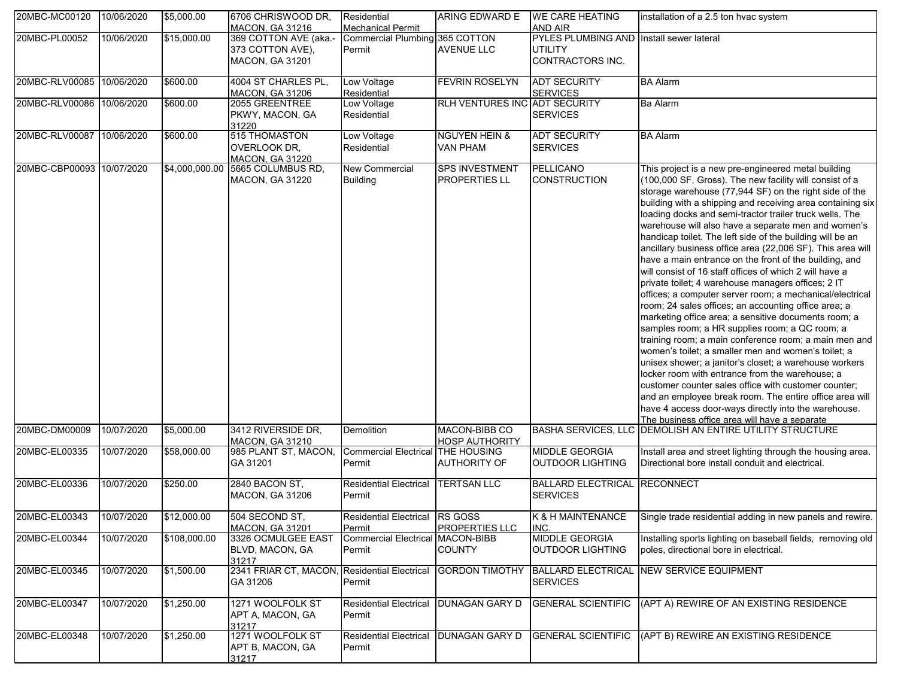| 20MBC-MC00120             | 10/06/2020 | \$5,000.00     | 6706 CHRISWOOD DR.<br><b>MACON, GA 31216</b>                 | Residential<br><b>Mechanical Permit</b>    | ARING EDWARD E                                | <b>WE CARE HEATING</b><br><b>AND AIR</b>                                       | installation of a 2.5 ton hvac system                                                                                                                                                                                                                                                                                                                                                                                                                                                                                                                                                                                                                                                                                                                                                                                                                                                                                                                                                                                                                                                                                                                                                                                                                                                                                                                 |
|---------------------------|------------|----------------|--------------------------------------------------------------|--------------------------------------------|-----------------------------------------------|--------------------------------------------------------------------------------|-------------------------------------------------------------------------------------------------------------------------------------------------------------------------------------------------------------------------------------------------------------------------------------------------------------------------------------------------------------------------------------------------------------------------------------------------------------------------------------------------------------------------------------------------------------------------------------------------------------------------------------------------------------------------------------------------------------------------------------------------------------------------------------------------------------------------------------------------------------------------------------------------------------------------------------------------------------------------------------------------------------------------------------------------------------------------------------------------------------------------------------------------------------------------------------------------------------------------------------------------------------------------------------------------------------------------------------------------------|
| 20MBC-PL00052             | 10/06/2020 | \$15,000.00    | 369 COTTON AVE (aka.-<br>373 COTTON AVE),<br>MACON, GA 31201 | Commercial Plumbing 365 COTTON<br>Permit   | <b>AVENUE LLC</b>                             | PYLES PLUMBING AND Install sewer lateral<br><b>UTILITY</b><br>CONTRACTORS INC. |                                                                                                                                                                                                                                                                                                                                                                                                                                                                                                                                                                                                                                                                                                                                                                                                                                                                                                                                                                                                                                                                                                                                                                                                                                                                                                                                                       |
| 20MBC-RLV00085 10/06/2020 |            | \$600.00       | 4004 ST CHARLES PL.<br><b>MACON, GA 31206</b>                | Low Voltage<br>Residential                 | <b>FEVRIN ROSELYN</b>                         | <b>ADT SECURITY</b><br><b>SERVICES</b>                                         | <b>BA Alarm</b>                                                                                                                                                                                                                                                                                                                                                                                                                                                                                                                                                                                                                                                                                                                                                                                                                                                                                                                                                                                                                                                                                                                                                                                                                                                                                                                                       |
| 20MBC-RLV00086 10/06/2020 |            | \$600.00       | 2055 GREENTREE<br>PKWY, MACON, GA<br>31220                   | Low Voltage<br>Residential                 | RLH VENTURES INC ADT SECURITY                 | <b>SERVICES</b>                                                                | <b>Ba Alarm</b>                                                                                                                                                                                                                                                                                                                                                                                                                                                                                                                                                                                                                                                                                                                                                                                                                                                                                                                                                                                                                                                                                                                                                                                                                                                                                                                                       |
| 20MBC-RLV00087 10/06/2020 |            | \$600.00       | 515 THOMASTON<br>OVERLOOK DR.<br><b>MACON, GA 31220</b>      | Low Voltage<br>Residential                 | <b>NGUYEN HEIN &amp;</b><br><b>VAN PHAM</b>   | <b>ADT SECURITY</b><br><b>SERVICES</b>                                         | <b>BA Alarm</b>                                                                                                                                                                                                                                                                                                                                                                                                                                                                                                                                                                                                                                                                                                                                                                                                                                                                                                                                                                                                                                                                                                                                                                                                                                                                                                                                       |
| 20MBC-CBP00093 10/07/2020 |            | \$4,000,000.00 | 5665 COLUMBUS RD,<br><b>MACON, GA 31220</b>                  | New Commercial<br>Building                 | <b>SPS INVESTMENT</b><br><b>PROPERTIES LL</b> | PELLICANO<br><b>CONSTRUCTION</b>                                               | This project is a new pre-engineered metal building<br>(100,000 SF, Gross). The new facility will consist of a<br>storage warehouse (77,944 SF) on the right side of the<br>building with a shipping and receiving area containing six<br>loading docks and semi-tractor trailer truck wells. The<br>warehouse will also have a separate men and women's<br>handicap toilet. The left side of the building will be an<br>ancillary business office area (22,006 SF). This area will<br>have a main entrance on the front of the building, and<br>will consist of 16 staff offices of which 2 will have a<br>private toilet; 4 warehouse managers offices; 2 IT<br>offices; a computer server room; a mechanical/electrical<br>room; 24 sales offices; an accounting office area; a<br>marketing office area; a sensitive documents room; a<br>samples room; a HR supplies room; a QC room; a<br>training room; a main conference room; a main men and<br>women's toilet; a smaller men and women's toilet; a<br>unisex shower; a janitor's closet; a warehouse workers<br>locker room with entrance from the warehouse; a<br>customer counter sales office with customer counter;<br>and an employee break room. The entire office area will<br>have 4 access door-ways directly into the warehouse.<br>The business office area will have a separate |
| 20MBC-DM00009             | 10/07/2020 | \$5,000.00     | 3412 RIVERSIDE DR,<br><b>MACON, GA 31210</b>                 | Demolition                                 | MACON-BIBB CO<br><b>HOSP AUTHORITY</b>        | <b>BASHA SERVICES, LLC</b>                                                     | DEMOLISH AN ENTIRE UTILITY STRUCTURE                                                                                                                                                                                                                                                                                                                                                                                                                                                                                                                                                                                                                                                                                                                                                                                                                                                                                                                                                                                                                                                                                                                                                                                                                                                                                                                  |
| 20MBC-EL00335             | 10/07/2020 | \$58,000.00    | 985 PLANT ST, MACON,<br>GA 31201                             | <b>Commercial Electrical</b><br>Permit     | <b>THE HOUSING</b><br><b>AUTHORITY OF</b>     | <b>MIDDLE GEORGIA</b><br>OUTDOOR LIGHTING                                      | Install area and street lighting through the housing area.<br>Directional bore install conduit and electrical.                                                                                                                                                                                                                                                                                                                                                                                                                                                                                                                                                                                                                                                                                                                                                                                                                                                                                                                                                                                                                                                                                                                                                                                                                                        |
| 20MBC-EL00336             | 10/07/2020 | \$250.00       | 2840 BACON ST,<br><b>MACON, GA 31206</b>                     | <b>Residential Electrical</b><br>Permit    | <b>TERTSAN LLC</b>                            | <b>BALLARD ELECTRICAL</b><br><b>SERVICES</b>                                   | <b>RECONNECT</b>                                                                                                                                                                                                                                                                                                                                                                                                                                                                                                                                                                                                                                                                                                                                                                                                                                                                                                                                                                                                                                                                                                                                                                                                                                                                                                                                      |
| 20MBC-EL00343             | 10/07/2020 | \$12,000.00    | 504 SECOND ST.<br><b>MACON, GA 31201</b>                     | Residential Electrical RS GOSS<br>Permit   | <b>PROPERTIES LLC</b>                         | K & H MAINTENANCE<br>INC.                                                      | Single trade residential adding in new panels and rewire.                                                                                                                                                                                                                                                                                                                                                                                                                                                                                                                                                                                                                                                                                                                                                                                                                                                                                                                                                                                                                                                                                                                                                                                                                                                                                             |
| 20MBC-EL00344             | 10/07/2020 | \$108,000.00   | 3326 OCMULGEE EAST<br>BLVD, MACON, GA<br>31217               | Commercial Electrical MACON-BIBB<br>Permit | <b>COUNTY</b>                                 | <b>MIDDLE GEORGIA</b><br><b>OUTDOOR LIGHTING</b>                               | Installing sports lighting on baseball fields, removing old<br>poles, directional bore in electrical.                                                                                                                                                                                                                                                                                                                                                                                                                                                                                                                                                                                                                                                                                                                                                                                                                                                                                                                                                                                                                                                                                                                                                                                                                                                 |
| 20MBC-EL00345             | 10/07/2020 | \$1,500.00     | 2341 FRIAR CT, MACON,<br>GA 31206                            | <b>Residential Electrical</b><br>Permit    |                                               | <b>SERVICES</b>                                                                | GORDON TIMOTHY BALLARD ELECTRICAL NEW SERVICE EQUIPMENT                                                                                                                                                                                                                                                                                                                                                                                                                                                                                                                                                                                                                                                                                                                                                                                                                                                                                                                                                                                                                                                                                                                                                                                                                                                                                               |
| 20MBC-EL00347             | 10/07/2020 | \$1,250.00     | 1271 WOOLFOLK ST<br>APT A, MACON, GA<br>31217                | <b>Residential Electrical</b><br>Permit    | <b>DUNAGAN GARY D</b>                         |                                                                                | GENERAL SCIENTIFIC (APT A) REWIRE OF AN EXISTING RESIDENCE                                                                                                                                                                                                                                                                                                                                                                                                                                                                                                                                                                                                                                                                                                                                                                                                                                                                                                                                                                                                                                                                                                                                                                                                                                                                                            |
| 20MBC-EL00348             | 10/07/2020 | \$1,250.00     | 1271 WOOLFOLK ST<br>APT B, MACON, GA<br>31217                | <b>Residential Electrical</b><br>Permit    | <b>DUNAGAN GARY D</b>                         |                                                                                | GENERAL SCIENTIFIC (APT B) REWIRE AN EXISTING RESIDENCE                                                                                                                                                                                                                                                                                                                                                                                                                                                                                                                                                                                                                                                                                                                                                                                                                                                                                                                                                                                                                                                                                                                                                                                                                                                                                               |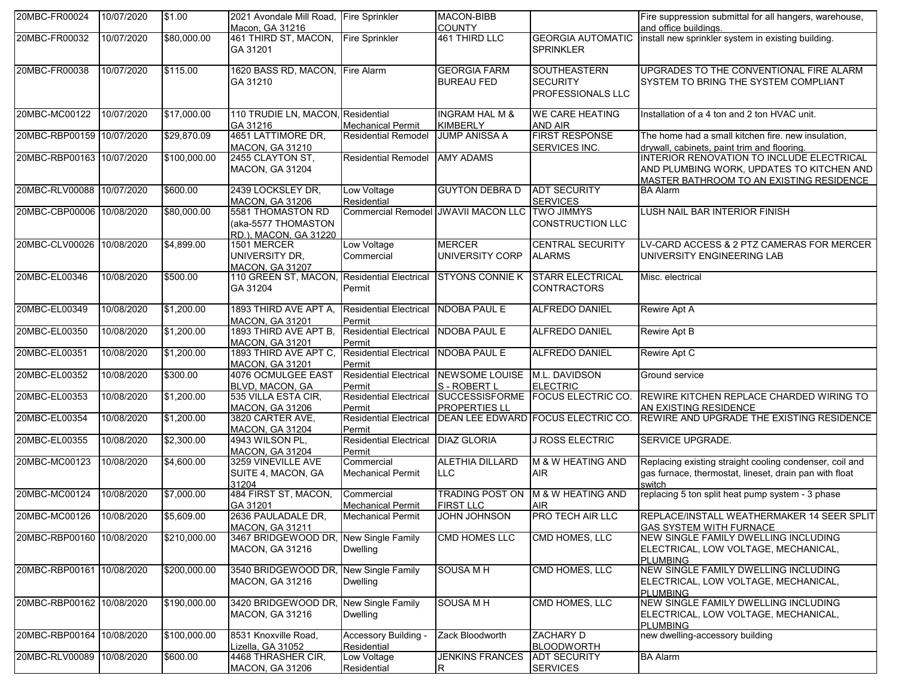| 20MBC-FR00024             | 10/07/2020 | \$1.00       | 2021 Avondale Mill Road, Fire Sprinkler                           |                                             | <b>MACON-BIBB</b>                            |                                                             | Fire suppression submittal for all hangers, warehouse,                                                                             |
|---------------------------|------------|--------------|-------------------------------------------------------------------|---------------------------------------------|----------------------------------------------|-------------------------------------------------------------|------------------------------------------------------------------------------------------------------------------------------------|
|                           |            |              | Macon, GA 31216                                                   |                                             | <b>COUNTY</b>                                |                                                             | and office buildings.                                                                                                              |
| 20MBC-FR00032             | 10/07/2020 | \$80,000.00  | 461 THIRD ST, MACON,<br>GA 31201                                  | <b>Fire Sprinkler</b>                       | 461 THIRD LLC                                | <b>GEORGIA AUTOMATIC</b><br><b>SPRINKLER</b>                | install new sprinkler system in existing building.                                                                                 |
| 20MBC-FR00038             | 10/07/2020 | \$115.00     | 1620 BASS RD, MACON, Fire Alarm<br>GA 31210                       |                                             | <b>GEORGIA FARM</b><br><b>BUREAU FED</b>     | <b>SOUTHEASTERN</b><br><b>SECURITY</b><br>PROFESSIONALS LLC | UPGRADES TO THE CONVENTIONAL FIRE ALARM<br><b>SYSTEM TO BRING THE SYSTEM COMPLIANT</b>                                             |
| 20MBC-MC00122             | 10/07/2020 | \$17,000.00  | 110 TRUDIE LN, MACON, Residential<br>GA 31216                     | <b>Mechanical Permit</b>                    | <b>INGRAM HAL M &amp;</b><br><b>KIMBERLY</b> | <b>WE CARE HEATING</b><br><b>AND AIR</b>                    | Installation of a 4 ton and 2 ton HVAC unit.                                                                                       |
| 20MBC-RBP00159 10/07/2020 |            | \$29,870.09  | 4651 LATTIMORE DR,<br><b>MACON, GA 31210</b>                      | <b>Residential Remodel</b>                  | <b>JUMP ANISSA A</b>                         | <b>FIRST RESPONSE</b><br>SERVICES INC.                      | The home had a small kitchen fire. new insulation,<br>drywall, cabinets, paint trim and flooring.                                  |
| 20MBC-RBP00163 10/07/2020 |            | \$100,000.00 | 2455 CLAYTON ST,<br>MACON, GA 31204                               | <b>Residential Remodel</b>                  | <b>AMY ADAMS</b>                             |                                                             | INTERIOR RENOVATION TO INCLUDE ELECTRICAL<br>AND PLUMBING WORK, UPDATES TO KITCHEN AND<br>MASTER BATHROOM TO AN EXISTING RESIDENCE |
| 20MBC-RLV00088            | 10/07/2020 | \$600.00     | 2439 LOCKSLEY DR,<br><b>MACON, GA 31206</b>                       | Low Voltage<br>Residential                  | <b>GUYTON DEBRA D</b>                        | <b>ADT SECURITY</b><br><b>SERVICES</b>                      | <b>BA Alarm</b>                                                                                                                    |
| 20MBC-CBP00006 10/08/2020 |            | \$80,000.00  | 5581 THOMASTON RD<br>(aka-5577 THOMASTON<br>RD.). MACON. GA 31220 |                                             | Commercial Remodel JWAVII MACON LLC          | <b>TWO JIMMYS</b><br><b>CONSTRUCTION LLC</b>                | LUSH NAIL BAR INTERIOR FINISH                                                                                                      |
| 20MBC-CLV00026            | 10/08/2020 | \$4,899.00   | 1501 MERCER<br>UNIVERSITY DR,<br>MACON, GA 31207                  | Low Voltage<br>Commercial                   | <b>MERCER</b><br>UNIVERSITY CORP             | <b>CENTRAL SECURITY</b><br><b>ALARMS</b>                    | LV-CARD ACCESS & 2 PTZ CAMERAS FOR MERCER<br>UNIVERSITY ENGINEERING LAB                                                            |
| 20MBC-EL00346             | 10/08/2020 | \$500.00     | 110 GREEN ST, MACON,<br>GA 31204                                  | <b>Residential Electrical</b><br>Permit     | <b>STYONS CONNIE K</b>                       | <b>STARR ELECTRICAL</b><br><b>CONTRACTORS</b>               | Misc. electrical                                                                                                                   |
| 20MBC-EL00349             | 10/08/2020 | \$1,200.00   | 1893 THIRD AVE APT A,<br><b>MACON, GA 31201</b>                   | <b>Residential Electrical</b><br>Permit     | <b>NDOBA PAUL E</b>                          | <b>ALFREDO DANIEL</b>                                       | <b>Rewire Apt A</b>                                                                                                                |
| 20MBC-EL00350             | 10/08/2020 | \$1,200.00   | 1893 THIRD AVE APT B,<br><b>MACON, GA 31201</b>                   | <b>Residential Electrical</b><br>Permit     | <b>NDOBA PAUL E</b>                          | <b>ALFREDO DANIEL</b>                                       | Rewire Apt B                                                                                                                       |
| 20MBC-EL00351             | 10/08/2020 | \$1,200.00   | 1893 THIRD AVE APT C,<br><b>MACON, GA 31201</b>                   | <b>Residential Electrical</b><br>Permit     | <b>NDOBA PAUL E</b>                          | ALFREDO DANIEL                                              | Rewire Apt C                                                                                                                       |
| 20MBC-EL00352             | 10/08/2020 | \$300.00     | 4076 OCMULGEE EAST<br>BLVD, MACON, GA                             | <b>Residential Electrical</b><br>Permit     | NEWSOME LOUISE<br>S - ROBERT L               | M.L. DAVIDSON<br><b>ELECTRIC</b>                            | Ground service                                                                                                                     |
| 20MBC-EL00353             | 10/08/2020 | \$1,200.00   | 535 VILLA ESTA CIR,<br><b>MACON, GA 31206</b>                     | <b>Residential Electrical</b><br>Permit     | <b>PROPERTIES LL</b>                         | SUCCESSISFORME FOCUS ELECTRIC CO.                           | REWIRE KITCHEN REPLACE CHARDED WIRING TO<br>AN EXISTING RESIDENCE                                                                  |
| 20MBC-EL00354             | 10/08/2020 | \$1,200.00   | 3820 CARTER AVE,<br><b>MACON, GA 31204</b>                        | <b>Residential Electrical</b><br>Permit     |                                              | DEAN LEE EDWARD FOCUS ELECTRIC CO.                          | REWIRE AND UPGRADE THE EXISTING RESIDENCE                                                                                          |
| 20MBC-EL00355             | 10/08/2020 | \$2,300.00   | 4943 WILSON PL,<br><b>MACON, GA 31204</b>                         | <b>Residential Electrical</b><br>Permit     | <b>DIAZ GLORIA</b>                           | <b>J ROSS ELECTRIC</b>                                      | SERVICE UPGRADE.                                                                                                                   |
| 20MBC-MC00123             | 10/08/2020 | \$4,600.00   | 3259 VINEVILLE AVE<br>SUITE 4, MACON, GA<br>31204                 | Commercial<br><b>Mechanical Permit</b>      | <b>ALETHIA DILLARD</b><br><b>LLC</b>         | M & W HEATING AND<br><b>AIR</b>                             | Replacing existing straight cooling condenser, coil and<br>gas furnace, thermostat, lineset, drain pan with float<br>switch        |
| 20MBC-MC00124             | 10/08/2020 | \$7,000.00   | 484 FIRST ST, MACON,<br>GA 31201                                  | Commercial<br><b>Mechanical Permit</b>      | <b>TRADING POST ON</b><br><b>FIRST LLC</b>   | M & W HEATING AND<br><b>AIR</b>                             | replacing 5 ton split heat pump system - 3 phase                                                                                   |
| 20MBC-MC00126 10/08/2020  |            | \$5,609.00   | 2636 PAULADALE DR,<br><b>MACON, GA 31211</b>                      | <b>Mechanical Permit</b>                    | <b>JOHN JOHNSON</b>                          | <b>PRO TECH AIR LLC</b>                                     | REPLACE/INSTALL WEATHERMAKER 14 SEER SPLIT<br><b>GAS SYSTEM WITH FURNACE</b>                                                       |
| 20MBC-RBP00160 10/08/2020 |            | \$210,000.00 | 3467 BRIDGEWOOD DR, New Single Family<br><b>MACON, GA 31216</b>   | <b>Dwelling</b>                             | <b>CMD HOMES LLC</b>                         | CMD HOMES, LLC                                              | NEW SINGLE FAMILY DWELLING INCLUDING<br>ELECTRICAL, LOW VOLTAGE, MECHANICAL,<br><b>PLUMBING</b>                                    |
| 20MBC-RBP00161 10/08/2020 |            | \$200,000.00 | 3540 BRIDGEWOOD DR,<br>MACON, GA 31216                            | <b>New Single Family</b><br>Dwelling        | <b>SOUSA MH</b>                              | CMD HOMES, LLC                                              | NEW SINGLE FAMILY DWELLING INCLUDING<br>ELECTRICAL, LOW VOLTAGE, MECHANICAL,<br><b>PLUMBING</b>                                    |
| 20MBC-RBP00162 10/08/2020 |            | \$190,000.00 | 3420 BRIDGEWOOD DR,<br><b>MACON, GA 31216</b>                     | <b>New Single Family</b><br><b>Dwelling</b> | SOUSA M H                                    | CMD HOMES, LLC                                              | NEW SINGLE FAMILY DWELLING INCLUDING<br>ELECTRICAL, LOW VOLTAGE, MECHANICAL,<br>PLUMBING                                           |
| 20MBC-RBP00164 10/08/2020 |            | \$100,000.00 | 8531 Knoxville Road,<br>Lizella, GA 31052                         | Accessory Building -<br>Residential         | Zack Bloodworth                              | ZACHARY D<br><b>BLOODWORTH</b>                              | new dwelling-accessory building                                                                                                    |
| 20MBC-RLV00089 10/08/2020 |            | \$600.00     | 4468 THRASHER CIR,<br><b>MACON, GA 31206</b>                      | Low Voltage<br>Residential                  | <b>JENKINS FRANCES</b><br>R                  | <b>ADT SECURITY</b><br><b>SERVICES</b>                      | <b>BA Alarm</b>                                                                                                                    |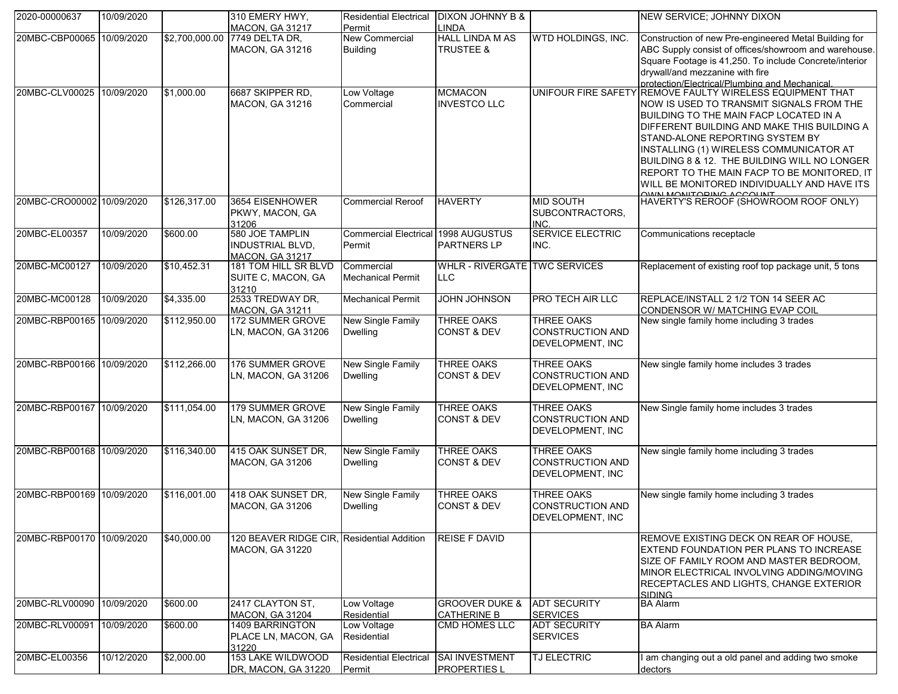| 2020-00000637             | 10/09/2020 |                | 310 EMERY HWY,                                                       | <b>Residential Electrical</b>                 | <b>DIXON JOHNNY B &amp;</b>                     |                                                                  | NEW SERVICE; JOHNNY DIXON                                                                                                                                                                                                                                                                                                                                                                                                                |
|---------------------------|------------|----------------|----------------------------------------------------------------------|-----------------------------------------------|-------------------------------------------------|------------------------------------------------------------------|------------------------------------------------------------------------------------------------------------------------------------------------------------------------------------------------------------------------------------------------------------------------------------------------------------------------------------------------------------------------------------------------------------------------------------------|
|                           |            |                | <b>MACON, GA 31217</b>                                               | Permit                                        | LINDA                                           |                                                                  |                                                                                                                                                                                                                                                                                                                                                                                                                                          |
| 20MBC-CBP00065 10/09/2020 |            | \$2,700,000.00 | 7749 DELTA DR,<br>MACON, GA 31216                                    | New Commercial<br><b>Building</b>             | <b>HALL LINDA M AS</b><br><b>TRUSTEE &amp;</b>  | WTD HOLDINGS, INC.                                               | Construction of new Pre-engineered Metal Building for<br>ABC Supply consist of offices/showroom and warehouse.<br>Square Footage is 41,250. To include Concrete/interior<br>drywall/and mezzanine with fire<br>protection/Flectrical/Plumbing and Mechanical                                                                                                                                                                             |
| 20MBC-CLV00025 10/09/2020 |            | \$1,000.00     | 6687 SKIPPER RD,<br>MACON, GA 31216                                  | Low Voltage<br>Commercial                     | <b>MCMACON</b><br><b>INVESTCO LLC</b>           |                                                                  | UNIFOUR FIRE SAFETY REMOVE FAULTY WIRELESS EQUIPMENT THAT<br>NOW IS USED TO TRANSMIT SIGNALS FROM THE<br>BUILDING TO THE MAIN FACP LOCATED IN A<br>DIFFERENT BUILDING AND MAKE THIS BUILDING A<br><b>STAND-ALONE REPORTING SYSTEM BY</b><br><b>INSTALLING (1) WIRELESS COMMUNICATOR AT</b><br>BUILDING 8 & 12. THE BUILDING WILL NO LONGER<br>REPORT TO THE MAIN FACP TO BE MONITORED, IT<br>WILL BE MONITORED INDIVIDUALLY AND HAVE ITS |
| 20MBC-CRO00002 10/09/2020 |            | \$126,317.00   | 3654 EISENHOWER<br>PKWY, MACON, GA<br>31206                          | <b>Commercial Reroof</b>                      | <b>HAVERTY</b>                                  | <b>MID SOUTH</b><br>SUBCONTRACTORS,<br><b>INC</b>                | HAVERTY'S REROOF (SHOWROOM ROOF ONLY)                                                                                                                                                                                                                                                                                                                                                                                                    |
| 20MBC-EL00357             | 10/09/2020 | \$600.00       | 580 JOE TAMPLIN<br><b>INDUSTRIAL BLVD,</b><br><b>MACON, GA 31217</b> | Commercial Electrical 1998 AUGUSTUS<br>Permit | PARTNERS LP                                     | <b>SERVICE ELECTRIC</b><br>INC.                                  | Communications receptacle                                                                                                                                                                                                                                                                                                                                                                                                                |
| 20MBC-MC00127             | 10/09/2020 | \$10,452.31    | 181 TOM HILL SR BLVD<br>SUITE C, MACON, GA<br>31210                  | Commercial<br><b>Mechanical Permit</b>        | WHLR - RIVERGATE TWC SERVICES<br><b>LLC</b>     |                                                                  | Replacement of existing roof top package unit, 5 tons                                                                                                                                                                                                                                                                                                                                                                                    |
| 20MBC-MC00128             | 10/09/2020 | \$4,335.00     | 2533 TREDWAY DR,<br><b>MACON, GA 31211</b>                           | <b>Mechanical Permit</b>                      | <b>JOHN JOHNSON</b>                             | PRO TECH AIR LLC                                                 | REPLACE/INSTALL 2 1/2 TON 14 SEER AC<br>CONDENSOR W/ MATCHING EVAP COIL                                                                                                                                                                                                                                                                                                                                                                  |
| 20MBC-RBP00165 10/09/2020 |            | \$112,950.00   | 172 SUMMER GROVE<br>LN, MACON, GA 31206                              | <b>New Single Family</b><br><b>Dwelling</b>   | <b>THREE OAKS</b><br><b>CONST &amp; DEV</b>     | <b>THREE OAKS</b><br><b>CONSTRUCTION AND</b><br>DEVELOPMENT, INC | New single family home including 3 trades                                                                                                                                                                                                                                                                                                                                                                                                |
| 20MBC-RBP00166 10/09/2020 |            | \$112,266.00   | 176 SUMMER GROVE<br>LN, MACON, GA 31206                              | <b>New Single Family</b><br><b>Dwelling</b>   | <b>THREE OAKS</b><br><b>CONST &amp; DEV</b>     | <b>THREE OAKS</b><br><b>CONSTRUCTION AND</b><br>DEVELOPMENT, INC | New single family home includes 3 trades                                                                                                                                                                                                                                                                                                                                                                                                 |
| 20MBC-RBP00167            | 10/09/2020 | \$111,054.00   | 179 SUMMER GROVE<br>LN, MACON, GA 31206                              | <b>New Single Family</b><br><b>Dwelling</b>   | <b>THREE OAKS</b><br><b>CONST &amp; DEV</b>     | <b>THREE OAKS</b><br><b>CONSTRUCTION AND</b><br>DEVELOPMENT, INC | New Single family home includes 3 trades                                                                                                                                                                                                                                                                                                                                                                                                 |
| 20MBC-RBP00168 10/09/2020 |            | \$116,340.00   | 415 OAK SUNSET DR,<br><b>MACON, GA 31206</b>                         | <b>New Single Family</b><br><b>Dwelling</b>   | <b>THREE OAKS</b><br><b>CONST &amp; DEV</b>     | THREE OAKS<br><b>CONSTRUCTION AND</b><br>DEVELOPMENT, INC        | New single family home including 3 trades                                                                                                                                                                                                                                                                                                                                                                                                |
| 20MBC-RBP00169 10/09/2020 |            | \$116,001.00   | 418 OAK SUNSET DR,<br><b>MACON, GA 31206</b>                         | <b>New Single Family</b><br>Dwelling          | <b>THREE OAKS</b><br><b>CONST &amp; DEV</b>     | <b>THREE OAKS</b><br><b>CONSTRUCTION AND</b><br>DEVELOPMENT, INC | New single family home including 3 trades                                                                                                                                                                                                                                                                                                                                                                                                |
| 20MBC-RBP00170 10/09/2020 |            | \$40,000.00    | 120 BEAVER RIDGE CIR, Residential Addition<br><b>MACON, GA 31220</b> |                                               | <b>REISE F DAVID</b>                            |                                                                  | REMOVE EXISTING DECK ON REAR OF HOUSE,<br><b>EXTEND FOUNDATION PER PLANS TO INCREASE</b><br>SIZE OF FAMILY ROOM AND MASTER BEDROOM.<br>MINOR ELECTRICAL INVOLVING ADDING/MOVING<br>RECEPTACLES AND LIGHTS, CHANGE EXTERIOR<br><b>SIDING</b>                                                                                                                                                                                              |
| 20MBC-RLV00090            | 10/09/2020 | \$600.00       | 2417 CLAYTON ST,<br><b>MACON, GA 31204</b>                           | Low Voltage<br>Residential                    | <b>GROOVER DUKE &amp;</b><br><b>CATHERINE B</b> | <b>ADT SECURITY</b><br><b>SERVICES</b>                           | <b>BA Alarm</b>                                                                                                                                                                                                                                                                                                                                                                                                                          |
| 20MBC-RLV00091            | 10/09/2020 | \$600.00       | 1409 BARRINGTON<br>PLACE LN, MACON, GA<br>31220                      | Low Voltage<br>Residential                    | <b>CMD HOMES LLC</b>                            | <b>ADT SECURITY</b><br><b>SERVICES</b>                           | <b>BA Alarm</b>                                                                                                                                                                                                                                                                                                                                                                                                                          |
| 20MBC-EL00356             | 10/12/2020 | \$2,000.00     | 153 LAKE WILDWOOD<br>DR, MACON, GA 31220                             | <b>Residential Electrical</b><br>Permit       | <b>SAI INVESTMENT</b><br><b>PROPERTIES L</b>    | TJ ELECTRIC                                                      | am changing out a old panel and adding two smoke<br>dectors                                                                                                                                                                                                                                                                                                                                                                              |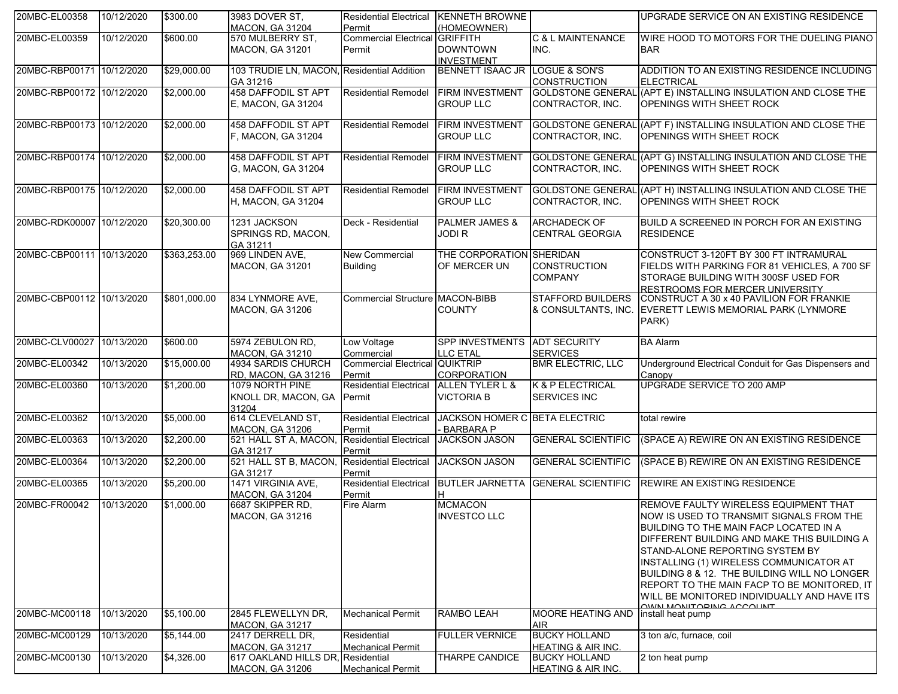| 20MBC-EL00358             | 10/12/2020 | \$300.00     | 3983 DOVER ST,<br><b>MACON, GA 31204</b>                    | Residential Electrical KENNETH BROWNE<br>Permit | (HOMEOWNER)                                       |                                                       | UPGRADE SERVICE ON AN EXISTING RESIDENCE                                                                                                                                                                                                                                                                                                                                                                                                |
|---------------------------|------------|--------------|-------------------------------------------------------------|-------------------------------------------------|---------------------------------------------------|-------------------------------------------------------|-----------------------------------------------------------------------------------------------------------------------------------------------------------------------------------------------------------------------------------------------------------------------------------------------------------------------------------------------------------------------------------------------------------------------------------------|
| 20MBC-EL00359             | 10/12/2020 | \$600.00     | 570 MULBERRY ST,<br><b>MACON, GA 31201</b>                  | Commercial Electrical GRIFFITH<br>Permit        | <b>DOWNTOWN</b><br><b>INVESTMENT</b>              | <b>C &amp; L MAINTENANCE</b><br>INC.                  | WIRE HOOD TO MOTORS FOR THE DUELING PIANO<br><b>BAR</b>                                                                                                                                                                                                                                                                                                                                                                                 |
| 20MBC-RBP00171 10/12/2020 |            | \$29,000.00  | 103 TRUDIE LN, MACON, Residential Addition<br>GA 31216      |                                                 | BENNETT ISAAC JR LOGUE & SON'S                    | <b>CONSTRUCTION</b>                                   | ADDITION TO AN EXISTING RESIDENCE INCLUDING<br><b>ELECTRICAL</b>                                                                                                                                                                                                                                                                                                                                                                        |
| 20MBC-RBP00172 10/12/2020 |            | \$2,000.00   | 458 DAFFODIL ST APT<br>E, MACON, GA 31204                   | <b>Residential Remodel</b>                      | <b>FIRM INVESTMENT</b><br><b>GROUP LLC</b>        | CONTRACTOR, INC.                                      | GOLDSTONE GENERAL (APT E) INSTALLING INSULATION AND CLOSE THE<br>OPENINGS WITH SHEET ROCK                                                                                                                                                                                                                                                                                                                                               |
| 20MBC-RBP00173 10/12/2020 |            | \$2,000.00   | <b>458 DAFFODIL ST APT</b><br>F. MACON, GA 31204            | <b>Residential Remodel</b>                      | <b>FIRM INVESTMENT</b><br><b>GROUP LLC</b>        | CONTRACTOR, INC.                                      | GOLDSTONE GENERAL (APT F) INSTALLING INSULATION AND CLOSE THE<br><b>OPENINGS WITH SHEET ROCK</b>                                                                                                                                                                                                                                                                                                                                        |
| 20MBC-RBP00174 10/12/2020 |            | \$2,000.00   | <b>458 DAFFODIL ST APT</b><br>G, MACON, GA 31204            | <b>Residential Remodel</b>                      | <b>FIRM INVESTMENT</b><br><b>GROUP LLC</b>        | CONTRACTOR. INC.                                      | GOLDSTONE GENERAL (APT G) INSTALLING INSULATION AND CLOSE THE<br>OPENINGS WITH SHEET ROCK                                                                                                                                                                                                                                                                                                                                               |
| 20MBC-RBP00175 10/12/2020 |            | \$2,000.00   | <b>458 DAFFODIL ST APT</b><br>H, MACON, GA 31204            | <b>Residential Remodel</b>                      | <b>FIRM INVESTMENT</b><br><b>GROUP LLC</b>        | CONTRACTOR, INC.                                      | GOLDSTONE GENERAL (APT H) INSTALLING INSULATION AND CLOSE THE<br>OPENINGS WITH SHEET ROCK                                                                                                                                                                                                                                                                                                                                               |
| 20MBC-RDK00007 10/12/2020 |            | \$20,300.00  | 1231 JACKSON<br>SPRINGS RD, MACON,<br>GA 31211              | Deck - Residential                              | <b>PALMER JAMES &amp;</b><br><b>JODIR</b>         | <b>ARCHADECK OF</b><br><b>CENTRAL GEORGIA</b>         | BUILD A SCREENED IN PORCH FOR AN EXISTING<br><b>RESIDENCE</b>                                                                                                                                                                                                                                                                                                                                                                           |
| 20MBC-CBP00111 10/13/2020 |            | \$363,253.00 | 969 LINDEN AVE,<br>MACON, GA 31201                          | <b>New Commercial</b><br><b>Building</b>        | THE CORPORATION SHERIDAN<br>OF MERCER UN          | <b>CONSTRUCTION</b><br><b>COMPANY</b>                 | CONSTRUCT 3-120FT BY 300 FT INTRAMURAL<br>FIELDS WITH PARKING FOR 81 VEHICLES, A 700 SF<br>STORAGE BUILDING WITH 300SF USED FOR<br>RESTROOMS FOR MERCER UNIVERSITY                                                                                                                                                                                                                                                                      |
| 20MBC-CBP00112 10/13/2020 |            | \$801,000.00 | 834 LYNMORE AVE,<br><b>MACON, GA 31206</b>                  | <b>Commercial Structure MACON-BIBB</b>          | <b>COUNTY</b>                                     | <b>STAFFORD BUILDERS</b><br>& CONSULTANTS, INC.       | CONSTRUCT A 30 x 40 PAVILION FOR FRANKIE<br>EVERETT LEWIS MEMORIAL PARK (LYNMORE<br>PARK)                                                                                                                                                                                                                                                                                                                                               |
| 20MBC-CLV00027            | 10/13/2020 | \$600.00     | 5974 ZEBULON RD,<br><b>MACON, GA 31210</b>                  | Low Voltage<br>Commercial                       | SPP INVESTMENTS ADT SECURITY<br><b>LLC ETAL</b>   | <b>SERVICES</b>                                       | <b>BA Alarm</b>                                                                                                                                                                                                                                                                                                                                                                                                                         |
| 20MBC-EL00342             | 10/13/2020 | \$15,000.00  | 4934 SARDIS CHURCH<br>RD, MACON, GA 31216                   | <b>Commercial Electrical QUIKTRIP</b><br>Permit | <b>CORPORATION</b>                                | <b>BMR ELECTRIC, LLC</b>                              | Underground Electrical Conduit for Gas Dispensers and<br>Canopy                                                                                                                                                                                                                                                                                                                                                                         |
| 20MBC-EL00360             | 10/13/2020 | \$1,200.00   | 1079 NORTH PINE<br>KNOLL DR, MACON, GA Permit<br>31204      | <b>Residential Electrical</b>                   | ALLEN TYLER L &<br><b>VICTORIA B</b>              | K & P ELECTRICAL<br><b>SERVICES INC</b>               | UPGRADE SERVICE TO 200 AMP                                                                                                                                                                                                                                                                                                                                                                                                              |
| 20MBC-EL00362             | 10/13/2020 | \$5,000.00   | 614 CLEVELAND ST,<br><b>MACON, GA 31206</b>                 | <b>Residential Electrical</b><br>Permit         | JACKSON HOMER C BETA ELECTRIC<br><b>BARBARA P</b> |                                                       | total rewire                                                                                                                                                                                                                                                                                                                                                                                                                            |
| 20MBC-EL00363             | 10/13/2020 | \$2,200.00   | 521 HALL ST A, MACON,<br>GA 31217                           | <b>Residential Electrical</b><br>Permit         | <b>JACKSON JASON</b>                              | <b>GENERAL SCIENTIFIC</b>                             | (SPACE A) REWIRE ON AN EXISTING RESIDENCE                                                                                                                                                                                                                                                                                                                                                                                               |
| 20MBC-EL00364             | 10/13/2020 | \$2,200.00   | 521 HALL ST B, MACON,<br>GA 31217                           | <b>Residential Electrical</b><br>Permit         | <b>JACKSON JASON</b>                              | <b>GENERAL SCIENTIFIC</b>                             | (SPACE B) REWIRE ON AN EXISTING RESIDENCE                                                                                                                                                                                                                                                                                                                                                                                               |
| 20MBC-EL00365             | 10/13/2020 | \$5,200.00   | 1471 VIRGINIA AVE,<br><b>MACON, GA 31204</b>                | <b>Residential Electrical</b><br>Permit         | <b>BUTLER JARNETTA</b>                            | <b>GENERAL SCIENTIFIC</b>                             | <b>REWIRE AN EXISTING RESIDENCE</b>                                                                                                                                                                                                                                                                                                                                                                                                     |
| 20MBC-FR00042             | 10/13/2020 | \$1,000.00   | 6687 SKIPPER RD.<br>MACON, GA 31216                         | Fire Alarm                                      | <b>MCMACON</b><br><b>INVESTCO LLC</b>             |                                                       | REMOVE FAULTY WIRELESS EQUIPMENT THAT<br>NOW IS USED TO TRANSMIT SIGNALS FROM THE<br>BUILDING TO THE MAIN FACP LOCATED IN A<br>DIFFERENT BUILDING AND MAKE THIS BUILDING A<br>STAND-ALONE REPORTING SYSTEM BY<br>INSTALLING (1) WIRELESS COMMUNICATOR AT<br>BUILDING 8 & 12. THE BUILDING WILL NO LONGER<br>REPORT TO THE MAIN FACP TO BE MONITORED, IT<br>WILL BE MONITORED INDIVIDUALLY AND HAVE ITS<br><b>OWN MONITORING ACCOUNT</b> |
| 20MBC-MC00118             | 10/13/2020 | \$5,100.00   | 2845 FLEWELLYN DR,<br><b>MACON, GA 31217</b>                | <b>Mechanical Permit</b>                        | <b>RAMBO LEAH</b>                                 | <b>MOORE HEATING AND</b><br><b>AIR</b>                | install heat pump                                                                                                                                                                                                                                                                                                                                                                                                                       |
| 20MBC-MC00129             | 10/13/2020 | \$5,144.00   | 2417 DERRELL DR.<br>MACON, GA 31217                         | Residential<br><b>Mechanical Permit</b>         | <b>FULLER VERNICE</b>                             | <b>BUCKY HOLLAND</b><br><b>HEATING &amp; AIR INC.</b> | 3 ton a/c, furnace, coil                                                                                                                                                                                                                                                                                                                                                                                                                |
| 20MBC-MC00130             | 10/13/2020 | \$4,326.00   | 617 OAKLAND HILLS DR, Residential<br><b>MACON, GA 31206</b> | <b>Mechanical Permit</b>                        | <b>THARPE CANDICE</b>                             | <b>BUCKY HOLLAND</b><br><b>HEATING &amp; AIR INC.</b> | 2 ton heat pump                                                                                                                                                                                                                                                                                                                                                                                                                         |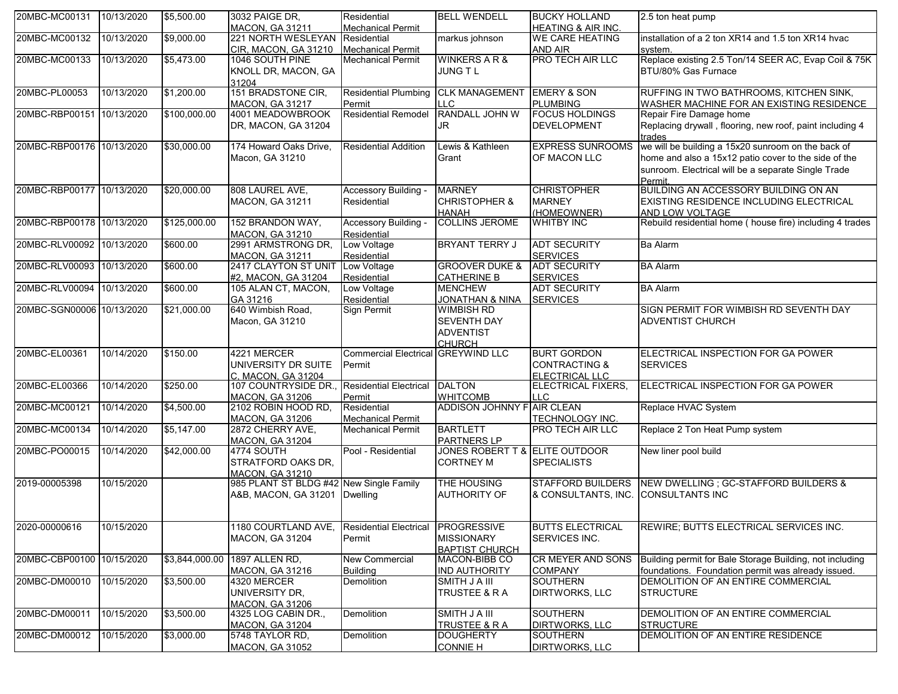| 20MBC-MC00131             | 10/13/2020 | \$5,500.00     | 3032 PAIGE DR.         | Residential                   | <b>BELL WENDELL</b>            | <b>BUCKY HOLLAND</b>          | 2.5 ton heat pump                                         |
|---------------------------|------------|----------------|------------------------|-------------------------------|--------------------------------|-------------------------------|-----------------------------------------------------------|
|                           |            |                | <b>MACON, GA 31211</b> | <b>Mechanical Permit</b>      |                                | <b>HEATING &amp; AIR INC.</b> |                                                           |
| 20MBC-MC00132             | 10/13/2020 | \$9,000.00     | 221 NORTH WESLEYAN     | Residential                   | markus johnson                 | <b>WE CARE HEATING</b>        | installation of a 2 ton XR14 and 1.5 ton XR14 hvac        |
|                           |            |                | CIR, MACON, GA 31210   | <b>Mechanical Permit</b>      |                                | AND AIR                       | system.                                                   |
| 20MBC-MC00133             | 10/13/2020 | \$5,473.00     | 1046 SOUTH PINE        | <b>Mechanical Permit</b>      | <b>WINKERS A R &amp;</b>       | PRO TECH AIR LLC              | Replace existing 2.5 Ton/14 SEER AC, Evap Coil & 75K      |
|                           |            |                | KNOLL DR, MACON, GA    |                               | JUNG TL                        |                               | BTU/80% Gas Furnace                                       |
|                           |            |                | 31204                  |                               |                                |                               |                                                           |
| 20MBC-PL00053             | 10/13/2020 | \$1,200.00     | 151 BRADSTONE CIR,     | <b>Residential Plumbing</b>   | <b>CLK MANAGEMENT</b>          | <b>EMERY &amp; SON</b>        | RUFFING IN TWO BATHROOMS, KITCHEN SINK,                   |
|                           |            |                | <b>MACON, GA 31217</b> | Permit                        | LLC.                           | <b>PLUMBING</b>               | WASHER MACHINE FOR AN EXISTING RESIDENCE                  |
| 20MBC-RBP00151 10/13/2020 |            | \$100,000.00   | 4001 MEADOWBROOK       | <b>Residential Remodel</b>    | RANDALL JOHN W                 | <b>FOCUS HOLDINGS</b>         | Repair Fire Damage home                                   |
|                           |            |                | DR, MACON, GA 31204    |                               | JR                             | <b>DEVELOPMENT</b>            | Replacing drywall, flooring, new roof, paint including 4  |
|                           |            |                |                        |                               |                                |                               | trades                                                    |
| 20MBC-RBP00176 10/13/2020 |            | \$30,000.00    | 174 Howard Oaks Drive, | <b>Residential Addition</b>   | Lewis & Kathleen               | <b>EXPRESS SUNROOMS</b>       | we will be building a 15x20 sunroom on the back of        |
|                           |            |                | Macon, GA 31210        |                               | Grant                          | OF MACON LLC                  | home and also a 15x12 patio cover to the side of the      |
|                           |            |                |                        |                               |                                |                               | sunroom. Electrical will be a separate Single Trade       |
|                           |            |                |                        |                               |                                |                               |                                                           |
|                           |            |                |                        |                               |                                |                               | <b>Permit</b><br>BUILDING AN ACCESSORY BUILDING ON AN     |
| 20MBC-RBP00177 10/13/2020 |            | \$20,000.00    | 808 LAUREL AVE,        | Accessory Building -          | <b>MARNEY</b>                  | <b>CHRISTOPHER</b>            |                                                           |
|                           |            |                | <b>MACON, GA 31211</b> | Residential                   | <b>CHRISTOPHER &amp;</b>       | <b>MARNEY</b>                 | <b>EXISTING RESIDENCE INCLUDING ELECTRICAL</b>            |
|                           |            |                |                        |                               | <b>HANAH</b>                   | (HOMEOWNER)                   | <b>AND LOW VOLTAGE</b>                                    |
| 20MBC-RBP00178 10/13/2020 |            | \$125,000.00   | 152 BRANDON WAY,       | Accessory Building -          | <b>COLLINS JEROME</b>          | <b>WHITBY INC</b>             | Rebuild residential home ( house fire) including 4 trades |
|                           |            |                | MACON, GA 31210        | Residential                   |                                |                               |                                                           |
| 20MBC-RLV00092 10/13/2020 |            | \$600.00       | 2991 ARMSTRONG DR,     | Low Voltage                   | <b>BRYANT TERRY J</b>          | <b>ADT SECURITY</b>           | <b>Ba Alarm</b>                                           |
|                           |            |                | MACON, GA 31211        | Residential                   |                                | <b>SERVICES</b>               |                                                           |
| 20MBC-RLV00093            | 10/13/2020 | \$600.00       | 2417 CLAYTON ST UNIT   | Low Voltage                   | <b>GROOVER DUKE &amp;</b>      | <b>ADT SECURITY</b>           | <b>BA Alarm</b>                                           |
|                           |            |                | #2, MACON, GA 31204    | Residential                   | <b>CATHERINE B</b>             | <b>SERVICES</b>               |                                                           |
| 20MBC-RLV00094            | 10/13/2020 | \$600.00       | 105 ALAN CT, MACON,    | Low Voltage                   | <b>MENCHEW</b>                 | <b>ADT SECURITY</b>           | <b>BA Alarm</b>                                           |
|                           |            |                | GA 31216               | Residential                   | JONATHAN & NINA                | <b>SERVICES</b>               |                                                           |
| 20MBC-SGN00006 10/13/2020 |            | \$21,000.00    | 640 Wimbish Road,      | Sign Permit                   | <b>WIMBISH RD</b>              |                               | SIGN PERMIT FOR WIMBISH RD SEVENTH DAY                    |
|                           |            |                | Macon, GA 31210        |                               | <b>SEVENTH DAY</b>             |                               | <b>ADVENTIST CHURCH</b>                                   |
|                           |            |                |                        |                               | <b>ADVENTIST</b>               |                               |                                                           |
|                           |            |                |                        |                               | <b>CHURCH</b>                  |                               |                                                           |
| 20MBC-EL00361             | 10/14/2020 | \$150.00       | 4221 MERCER            | <b>Commercial Electrical</b>  | <b>GREYWIND LLC</b>            | <b>BURT GORDON</b>            | ELECTRICAL INSPECTION FOR GA POWER                        |
|                           |            |                | UNIVERSITY DR SUITE    | Permit                        |                                | <b>CONTRACTING &amp;</b>      | <b>SERVICES</b>                                           |
|                           |            |                |                        |                               |                                |                               |                                                           |
|                           |            | \$250.00       | C. MACON. GA 31204     |                               | <b>DALTON</b>                  | ELECTRICAL LLC                |                                                           |
| 20MBC-EL00366             | 10/14/2020 |                | 107 COUNTRYSIDE DR.,   | <b>Residential Electrical</b> |                                | <b>ELECTRICAL FIXERS,</b>     | ELECTRICAL INSPECTION FOR GA POWER                        |
|                           |            |                | <b>MACON, GA 31206</b> | Permit                        | <b>WHITCOMB</b>                | <b>LLC</b>                    |                                                           |
| 20MBC-MC00121             | 10/14/2020 | \$4,500.00     | 2102 ROBIN HOOD RD,    | Residential                   | ADDISON JOHNNY FAIR CLEAN      |                               | Replace HVAC System                                       |
|                           |            |                | MACON, GA 31206        | <b>Mechanical Permit</b>      |                                | TECHNOLOGY INC.               |                                                           |
| 20MBC-MC00134             | 10/14/2020 | \$5,147.00     | 2872 CHERRY AVE,       | <b>Mechanical Permit</b>      | <b>BARTLETT</b>                | PRO TECH AIR LLC              | Replace 2 Ton Heat Pump system                            |
|                           |            |                | <b>MACON, GA 31204</b> |                               | <b>PARTNERS LP</b>             |                               |                                                           |
| 20MBC-PO00015             | 10/14/2020 | \$42,000.00    | 4774 SOUTH             | Pool - Residential            | JONES ROBERT T & ELITE OUTDOOR |                               | New liner pool build                                      |
|                           |            |                | STRATFORD OAKS DR,     |                               | <b>CORTNEY M</b>               | <b>SPECIALISTS</b>            |                                                           |
|                           |            |                | <b>MACON, GA 31210</b> |                               |                                |                               |                                                           |
| 2019-00005398             | 10/15/2020 |                | 985 PLANT ST BLDG #42  | <b>New Single Family</b>      | THE HOUSING                    | <b>STAFFORD BUILDERS</b>      | NEW DWELLING ; GC-STAFFORD BUILDERS &                     |
|                           |            |                | A&B, MACON, GA 31201   | <b>Dwelling</b>               | <b>AUTHORITY OF</b>            | & CONSULTANTS, INC.           | <b>CONSULTANTS INC</b>                                    |
|                           |            |                |                        |                               |                                |                               |                                                           |
|                           |            |                |                        |                               |                                |                               |                                                           |
| 2020-00000616             | 10/15/2020 |                | 1180 COURTLAND AVE,    | <b>Residential Electrical</b> | <b>PROGRESSIVE</b>             | <b>BUTTS ELECTRICAL</b>       | REWIRE; BUTTS ELECTRICAL SERVICES INC.                    |
|                           |            |                | <b>MACON, GA 31204</b> | Permit                        | <b>MISSIONARY</b>              | SERVICES INC.                 |                                                           |
|                           |            |                |                        |                               | <b>BAPTIST CHURCH</b>          |                               |                                                           |
| 20MBC-CBP00100 10/15/2020 |            | \$3,844,000.00 | 1897 ALLEN RD,         | <b>New Commercial</b>         | MACON-BIBB CO                  | CR MEYER AND SONS             | Building permit for Bale Storage Building, not including  |
|                           |            |                |                        | <b>Building</b>               | <b>IND AUTHORITY</b>           | <b>COMPANY</b>                | foundations. Foundation permit was already issued.        |
| 20MBC-DM00010             | 10/15/2020 | \$3,500.00     | <b>MACON, GA 31216</b> | <b>Demolition</b>             | SMITH J A III                  | <b>SOUTHERN</b>               | DEMOLITION OF AN ENTIRE COMMERCIAL                        |
|                           |            |                | 4320 MERCER            |                               |                                |                               |                                                           |
|                           |            |                | UNIVERSITY DR.         |                               | TRUSTEE & R A                  | DIRTWORKS, LLC                | <b>STRUCTURE</b>                                          |
|                           |            |                | <b>MACON, GA 31206</b> |                               |                                |                               |                                                           |
| 20MBC-DM00011             | 10/15/2020 | \$3,500.00     | 4325 LOG CABIN DR.,    | Demolition                    | <b>SMITH J A III</b>           | <b>SOUTHERN</b>               | DEMOLITION OF AN ENTIRE COMMERCIAL                        |
|                           |            |                | <b>MACON, GA 31204</b> |                               | <b>TRUSTEE &amp; R A</b>       | <b>DIRTWORKS, LLC</b>         | <b>STRUCTURE</b>                                          |
| 20MBC-DM00012             | 10/15/2020 | \$3,000.00     | 5748 TAYLOR RD,        | <b>Demolition</b>             | <b>DOUGHERTY</b>               | <b>SOUTHERN</b>               | DEMOLITION OF AN ENTIRE RESIDENCE                         |
|                           |            |                | <b>MACON, GA 31052</b> |                               | <b>CONNIE H</b>                | DIRTWORKS, LLC                |                                                           |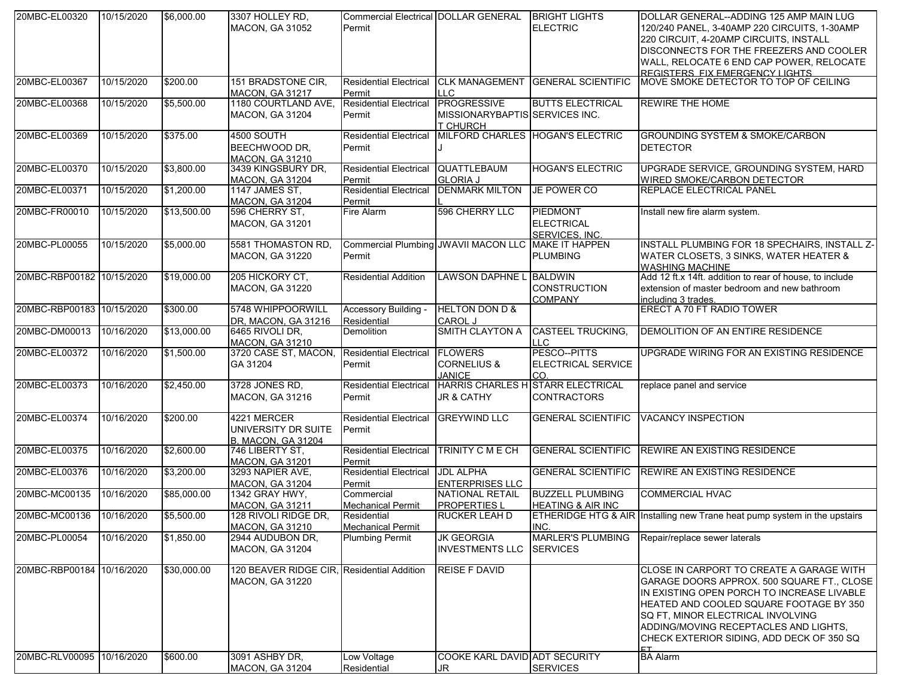| 20MBC-EL00320             | 10/15/2020 | \$6,000.00  | 3307 HOLLEY RD.<br>MACON, GA 31052                                   | <b>Commercial Electrical DOLLAR GENERAL</b><br>Permit         |                                                           | <b>BRIGHT LIGHTS</b><br><b>ELECTRIC</b>                 | DOLLAR GENERAL--ADDING 125 AMP MAIN LUG<br>120/240 PANEL, 3-40AMP 220 CIRCUITS, 1-30AMP                                                                                                                                                                                                                                  |
|---------------------------|------------|-------------|----------------------------------------------------------------------|---------------------------------------------------------------|-----------------------------------------------------------|---------------------------------------------------------|--------------------------------------------------------------------------------------------------------------------------------------------------------------------------------------------------------------------------------------------------------------------------------------------------------------------------|
|                           |            |             |                                                                      |                                                               |                                                           |                                                         | 220 CIRCUIT, 4-20AMP CIRCUITS, INSTALL<br>DISCONNECTS FOR THE FREEZERS AND COOLER<br>WALL, RELOCATE 6 END CAP POWER, RELOCATE<br>REGISTERS FIX EMERGENCY LIGHTS                                                                                                                                                          |
| 20MBC-EL00367             | 10/15/2020 | \$200.00    | 151 BRADSTONE CIR.<br><b>MACON, GA 31217</b>                         | <b>Residential Electrical</b><br>Permit                       | <b>CLK MANAGEMENT</b><br><b>LLC</b>                       | <b>GENERAL SCIENTIFIC</b>                               | MOVE SMOKE DETECTOR TO TOP OF CEILING                                                                                                                                                                                                                                                                                    |
| 20MBC-EL00368             | 10/15/2020 | \$5,500.00  | 1180 COURTLAND AVE,<br><b>MACON, GA 31204</b>                        | <b>Residential Electrical</b><br>Permit                       | PROGRESSIVE<br>MISSIONARYBAPTIS SERVICES INC.<br>T CHURCH | <b>BUTTS ELECTRICAL</b>                                 | <b>REWIRE THE HOME</b>                                                                                                                                                                                                                                                                                                   |
| 20MBC-EL00369             | 10/15/2020 | \$375.00    | <b>4500 SOUTH</b><br>BEECHWOOD DR.<br><b>MACON, GA 31210</b>         | Residential Electrical<br>Permit                              |                                                           | MILFORD CHARLES HOGAN'S ELECTRIC                        | <b>GROUNDING SYSTEM &amp; SMOKE/CARBON</b><br><b>DETECTOR</b>                                                                                                                                                                                                                                                            |
| 20MBC-EL00370             | 10/15/2020 | \$3,800.00  | 3439 KINGSBURY DR,<br><b>MACON, GA 31204</b>                         | <b>Residential Electrical</b><br>Permit                       | QUATTLEBAUM<br><b>GLORIA J</b>                            | <b>HOGAN'S ELECTRIC</b>                                 | UPGRADE SERVICE, GROUNDING SYSTEM, HARD<br>WIRED SMOKE/CARBON DETECTOR                                                                                                                                                                                                                                                   |
| 20MBC-EL00371             | 10/15/2020 | \$1,200.00  | 1147 JAMES ST,<br><b>MACON, GA 31204</b>                             | <b>Residential Electrical</b><br>Permit                       | <b>DENMARK MILTON</b>                                     | JE POWER CO                                             | <b>REPLACE ELECTRICAL PANEL</b>                                                                                                                                                                                                                                                                                          |
| 20MBC-FR00010             | 10/15/2020 | \$13,500.00 | 596 CHERRY ST,<br><b>MACON, GA 31201</b>                             | Fire Alarm                                                    | 596 CHERRY LLC                                            | PIEDMONT<br><b>ELECTRICAL</b><br>SERVICES, INC.         | Install new fire alarm system.                                                                                                                                                                                                                                                                                           |
| 20MBC-PL00055             | 10/15/2020 | \$5,000.00  | 5581 THOMASTON RD,<br><b>MACON, GA 31220</b>                         | Commercial Plumbing JWAVII MACON LLC MAKE IT HAPPEN<br>Permit |                                                           | <b>PLUMBING</b>                                         | <b>INSTALL PLUMBING FOR 18 SPECHAIRS, INSTALL Z-</b><br>WATER CLOSETS, 3 SINKS, WATER HEATER &<br><b>WASHING MACHINE</b>                                                                                                                                                                                                 |
| 20MBC-RBP00182 10/15/2020 |            | \$19,000.00 | 205 HICKORY CT,<br><b>MACON, GA 31220</b>                            | <b>Residential Addition</b>                                   | LAWSON DAPHNE L BALDWIN                                   | CONSTRUCTION<br><b>COMPANY</b>                          | Add 12 ft.x 14ft. addition to rear of house, to include<br>extension of master bedroom and new bathroom<br>including 3 trades.                                                                                                                                                                                           |
| 20MBC-RBP00183 10/15/2020 |            | \$300.00    | 5748 WHIPPOORWILL<br>DR, MACON, GA 31216                             | Accessory Building -<br>Residential                           | <b>HELTON DON D &amp;</b><br><b>CAROL J</b>               |                                                         | <b>ERECT A 70 FT RADIO TOWER</b>                                                                                                                                                                                                                                                                                         |
| 20MBC-DM00013             | 10/16/2020 | \$13,000.00 | 6465 RIVOLI DR,<br>MACON, GA 31210                                   | <b>Demolition</b>                                             | <b>SMITH CLAYTON A</b>                                    | <b>CASTEEL TRUCKING,</b><br><b>LLC</b>                  | DEMOLITION OF AN ENTIRE RESIDENCE                                                                                                                                                                                                                                                                                        |
| 20MBC-EL00372             | 10/16/2020 | \$1,500.00  | 3720 CASE ST, MACON,<br>GA 31204                                     | <b>Residential Electrical</b><br>Permit                       | <b>FLOWERS</b><br><b>CORNELIUS &amp;</b><br><b>JANICE</b> | PESCO--PITTS<br>ELECTRICAL SERVICE<br>CO.               | UPGRADE WIRING FOR AN EXISTING RESIDENCE                                                                                                                                                                                                                                                                                 |
| 20MBC-EL00373             | 10/16/2020 | \$2,450.00  | 3728 JONES RD,<br><b>MACON, GA 31216</b>                             | <b>Residential Electrical</b><br>Permit                       | <b>JR &amp; CATHY</b>                                     | HARRIS CHARLES HISTARR ELECTRICAL<br><b>CONTRACTORS</b> | replace panel and service                                                                                                                                                                                                                                                                                                |
| 20MBC-EL00374             | 10/16/2020 | \$200.00    | 4221 MERCER<br>UNIVERSITY DR SUITE<br><b>B. MACON, GA 31204</b>      | <b>Residential Electrical</b><br>Permit                       | <b>GREYWIND LLC</b>                                       |                                                         | GENERAL SCIENTIFIC VACANCY INSPECTION                                                                                                                                                                                                                                                                                    |
| 20MBC-EL00375             | 10/16/2020 | \$2,600.00  | 746 LIBERTY ST,<br><b>MACON, GA 31201</b>                            | <b>Residential Electrical</b><br>Permit                       | <b>TRINITY C M E CH</b>                                   | <b>GENERAL SCIENTIFIC</b>                               | <b>REWIRE AN EXISTING RESIDENCE</b>                                                                                                                                                                                                                                                                                      |
| 20MBC-EL00376             | 10/16/2020 | \$3,200.00  | 3293 NAPIER AVE,<br><b>MACON, GA 31204</b>                           | <b>Residential Electrical</b><br>Permit                       | <b>JDL ALPHA</b><br><b>ENTERPRISES LLC</b>                |                                                         | GENERAL SCIENTIFIC REWIRE AN EXISTING RESIDENCE                                                                                                                                                                                                                                                                          |
| 20MBC-MC00135             | 10/16/2020 | \$85,000.00 | 1342 GRAY HWY,<br><b>MACON, GA 31211</b>                             | Commercial<br><b>Mechanical Permit</b>                        | NATIONAL RETAIL<br><b>PROPERTIES L</b>                    | <b>BUZZELL PLUMBING</b><br><b>HEATING &amp; AIR INC</b> | <b>COMMERCIAL HVAC</b>                                                                                                                                                                                                                                                                                                   |
| 20MBC-MC00136 10/16/2020  |            | \$5,500.00  | 128 RIVOLI RIDGE DR,<br><b>MACON, GA 31210</b>                       | Residential<br><b>Mechanical Permit</b>                       | <b>RUCKER LEAH D</b>                                      | INC.                                                    | ETHERIDGE HTG & AIR Installing new Trane heat pump system in the upstairs                                                                                                                                                                                                                                                |
| 20MBC-PL00054             | 10/16/2020 | \$1,850.00  | 2944 AUDUBON DR,<br>MACON, GA 31204                                  | <b>Plumbing Permit</b>                                        | <b>JK GEORGIA</b><br><b>INVESTMENTS LLC</b>               | <b>MARLER'S PLUMBING</b><br><b>SERVICES</b>             | Repair/replace sewer laterals                                                                                                                                                                                                                                                                                            |
| 20MBC-RBP00184 10/16/2020 |            | \$30,000.00 | 120 BEAVER RIDGE CIR, Residential Addition<br><b>MACON, GA 31220</b> |                                                               | <b>REISE F DAVID</b>                                      |                                                         | <b>CLOSE IN CARPORT TO CREATE A GARAGE WITH</b><br>GARAGE DOORS APPROX. 500 SQUARE FT., CLOSE<br>IN EXISTING OPEN PORCH TO INCREASE LIVABLE<br><b>HEATED AND COOLED SQUARE FOOTAGE BY 350</b><br>SQ FT, MINOR ELECTRICAL INVOLVING<br>ADDING/MOVING RECEPTACLES AND LIGHTS,<br>CHECK EXTERIOR SIDING, ADD DECK OF 350 SQ |
| 20MBC-RLV00095            | 10/16/2020 | \$600.00    | 3091 ASHBY DR,<br><b>MACON, GA 31204</b>                             | Low Voltage<br>Residential                                    | COOKE KARL DAVID ADT SECURITY<br>JR.                      | <b>SERVICES</b>                                         | <b>BA Alarm</b>                                                                                                                                                                                                                                                                                                          |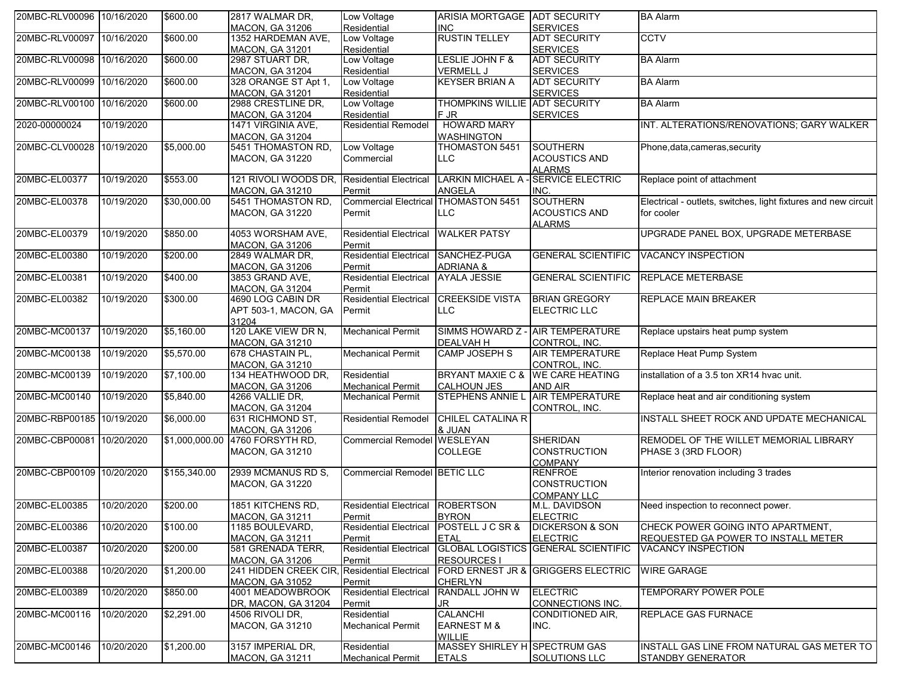| 20MBC-RLV00096 10/16/2020 |            | \$600.00       | 2817 WALMAR DR,        | Low Voltage                        | ARISIA MORTGAGE ADT SECURITY     |                                            | <b>BA Alarm</b>                                                |
|---------------------------|------------|----------------|------------------------|------------------------------------|----------------------------------|--------------------------------------------|----------------------------------------------------------------|
|                           |            |                | <b>MACON, GA 31206</b> | Residential                        | <b>INC</b>                       | <b>SERVICES</b>                            |                                                                |
| 20MBC-RLV00097            | 10/16/2020 | \$600.00       | 1352 HARDEMAN AVE,     | Low Voltage                        | <b>RUSTIN TELLEY</b>             | ADT SECURITY                               | <b>CCTV</b>                                                    |
|                           |            |                | <b>MACON, GA 31201</b> | Residential                        |                                  | <b>SERVICES</b>                            |                                                                |
| 20MBC-RLV00098 10/16/2020 |            | \$600.00       | 2987 STUART DR,        | Low Voltage                        | LESLIE JOHN F &                  | <b>ADT SECURITY</b>                        | <b>BA Alarm</b>                                                |
|                           |            |                | MACON, GA 31204        | Residential                        | <b>VERMELL J</b>                 | <b>SERVICES</b>                            |                                                                |
| 20MBC-RLV00099            | 10/16/2020 | \$600.00       | 328 ORANGE ST Apt 1,   | Low Voltage                        | <b>KEYSER BRIAN A</b>            | <b>ADT SECURITY</b>                        | <b>BA Alarm</b>                                                |
|                           |            |                | <b>MACON, GA 31201</b> | Residential                        |                                  | <b>SERVICES</b>                            |                                                                |
| 20MBC-RLV00100 10/16/2020 |            | \$600.00       | 2988 CRESTLINE DR,     | Low Voltage                        | THOMPKINS WILLIE ADT SECURITY    |                                            | <b>BA Alarm</b>                                                |
|                           |            |                | <b>MACON, GA 31204</b> | Residential                        | F JR                             | <b>SERVICES</b>                            |                                                                |
| 2020-00000024             | 10/19/2020 |                | 1471 VIRGINIA AVE,     | <b>Residential Remodel</b>         | <b>HOWARD MARY</b>               |                                            | INT. ALTERATIONS/RENOVATIONS; GARY WALKER                      |
|                           |            |                | <b>MACON, GA 31204</b> |                                    | <b>WASHINGTON</b>                |                                            |                                                                |
| 20MBC-CLV00028            | 10/19/2020 | \$5,000.00     | 5451 THOMASTON RD.     | Low Voltage                        | THOMASTON 5451                   | <b>SOUTHERN</b>                            | Phone, data, cameras, security                                 |
|                           |            |                | MACON, GA 31220        | Commercial                         | LLC                              | <b>ACOUSTICS AND</b>                       |                                                                |
|                           |            |                |                        |                                    |                                  |                                            |                                                                |
| 20MBC-EL00377             | 10/19/2020 | \$553.00       | 121 RIVOLI WOODS DR,   | <b>Residential Electrical</b>      | <b>LARKIN MICHAEL A</b>          | <b>ALARMS</b><br><b>SERVICE ELECTRIC</b>   | Replace point of attachment                                    |
|                           |            |                |                        |                                    |                                  |                                            |                                                                |
|                           |            |                | <b>MACON, GA 31210</b> | Permit                             | <b>ANGELA</b>                    | INC.                                       |                                                                |
| 20MBC-EL00378             | 10/19/2020 | \$30,000.00    | 5451 THOMASTON RD,     | <b>Commercial Electrical</b>       | <b>THOMASTON 5451</b>            | <b>SOUTHERN</b>                            | Electrical - outlets, switches, light fixtures and new circuit |
|                           |            |                | MACON, GA 31220        | Permit                             | <b>LLC</b>                       | <b>ACOUSTICS AND</b>                       | for cooler                                                     |
|                           |            |                |                        |                                    |                                  | <b>ALARMS</b>                              |                                                                |
| 20MBC-EL00379             | 10/19/2020 | \$850.00       | 4053 WORSHAM AVE,      | <b>Residential Electrical</b>      | <b>WALKER PATSY</b>              |                                            | UPGRADE PANEL BOX, UPGRADE METERBASE                           |
|                           |            |                | <b>MACON, GA 31206</b> | Permit                             |                                  |                                            |                                                                |
| 20MBC-EL00380             | 10/19/2020 | \$200.00       | 2849 WALMAR DR,        | <b>Residential Electrical</b>      | SANCHEZ-PUGA                     | <b>GENERAL SCIENTIFIC</b>                  | <b>VACANCY INSPECTION</b>                                      |
|                           |            |                | <b>MACON, GA 31206</b> | Permit                             | <b>ADRIANA &amp;</b>             |                                            |                                                                |
| 20MBC-EL00381             | 10/19/2020 | \$400.00       | 3853 GRAND AVE,        | <b>Residential Electrical</b>      | <b>AYALA JESSIE</b>              | <b>GENERAL SCIENTIFIC</b>                  | <b>REPLACE METERBASE</b>                                       |
|                           |            |                | <b>MACON, GA 31204</b> | Permit                             |                                  |                                            |                                                                |
| 20MBC-EL00382             | 10/19/2020 | \$300.00       | 4690 LOG CABIN DR      | <b>Residential Electrical</b>      | <b>CREEKSIDE VISTA</b>           | <b>BRIAN GREGORY</b>                       | <b>REPLACE MAIN BREAKER</b>                                    |
|                           |            |                |                        |                                    |                                  |                                            |                                                                |
|                           |            |                | APT 503-1, MACON, GA   | Permit                             | LLC.                             | ELECTRIC LLC                               |                                                                |
|                           |            |                | 31204                  |                                    |                                  |                                            |                                                                |
| 20MBC-MC00137             | 10/19/2020 | \$5,160.00     | 120 LAKE VIEW DR N,    | <b>Mechanical Permit</b>           | SIMMS HOWARD Z - AIR TEMPERATURE |                                            | Replace upstairs heat pump system                              |
|                           |            |                | MACON, GA 31210        |                                    | <b>DEALVAH H</b>                 | CONTROL, INC.                              |                                                                |
| 20MBC-MC00138             | 10/19/2020 | \$5,570.00     | 678 CHASTAIN PL,       | <b>Mechanical Permit</b>           | <b>CAMP JOSEPH S</b>             | <b>AIR TEMPERATURE</b>                     | Replace Heat Pump System                                       |
|                           |            |                | <b>MACON, GA 31210</b> |                                    |                                  | CONTROL, INC.                              |                                                                |
| 20MBC-MC00139             | 10/19/2020 | \$7,100.00     | 134 HEATHWOOD DR,      | Residential                        | <b>BRYANT MAXIE C &amp;</b>      | <b>WE CARE HEATING</b>                     | installation of a 3.5 ton XR14 hvac unit.                      |
|                           |            |                | <b>MACON, GA 31206</b> | <b>Mechanical Permit</b>           | <b>CALHOUN JES</b>               | <b>AND AIR</b>                             |                                                                |
| 20MBC-MC00140             | 10/19/2020 | \$5,840.00     | 4266 VALLIE DR,        | <b>Mechanical Permit</b>           | STEPHENS ANNIE L AIR TEMPERATURE |                                            | Replace heat and air conditioning system                       |
|                           |            |                | <b>MACON, GA 31204</b> |                                    |                                  | CONTROL, INC.                              |                                                                |
| 20MBC-RBP00185            | 10/19/2020 | \$6,000.00     | 631 RICHMOND ST,       | <b>Residential Remodel</b>         | <b>CHILEL CATALINA R</b>         |                                            | INSTALL SHEET ROCK AND UPDATE MECHANICAL                       |
|                           |            |                | <b>MACON, GA 31206</b> |                                    | & JUAN                           |                                            |                                                                |
| 20MBC-CBP00081 10/20/2020 |            | \$1,000,000.00 | 4760 FORSYTH RD,       | <b>Commercial Remodel WESLEYAN</b> |                                  | <b>SHERIDAN</b>                            | REMODEL OF THE WILLET MEMORIAL LIBRARY                         |
|                           |            |                |                        |                                    |                                  | <b>CONSTRUCTION</b>                        | PHASE 3 (3RD FLOOR)                                            |
|                           |            |                | MACON, GA 31210        |                                    | <b>COLLEGE</b>                   |                                            |                                                                |
|                           |            |                |                        |                                    |                                  | <b>COMPANY</b>                             |                                                                |
| 20MBC-CBP00109 10/20/2020 |            | \$155,340.00   | 2939 MCMANUS RD S,     | Commercial Remodel BETIC LLC       |                                  | <b>RENFROE</b>                             | Interior renovation including 3 trades                         |
|                           |            |                | MACON, GA 31220        |                                    |                                  | <b>CONSTRUCTION</b>                        |                                                                |
|                           |            |                |                        |                                    |                                  | <b>COMPANY LLC</b>                         |                                                                |
| 20MBC-EL00385             | 10/20/2020 | \$200.00       | 1851 KITCHENS RD,      | <b>Residential Electrical</b>      | <b>ROBERTSON</b>                 | M.L. DAVIDSON                              | Need inspection to reconnect power.                            |
|                           |            |                | <b>MACON, GA 31211</b> | Permit                             | <b>BYRON</b>                     | <b>ELECTRIC</b>                            |                                                                |
| 20MBC-EL00386             | 10/20/2020 | \$100.00       | 1185 BOULEVARD,        | <b>Residential Electrical</b>      | <b>POSTELL J C SR &amp;</b>      | <b>DICKERSON &amp; SON</b>                 | CHECK POWER GOING INTO APARTMENT,                              |
|                           |            |                | <b>MACON, GA 31211</b> | Permit                             | <b>ETAL</b>                      | <b>ELECTRIC</b>                            | <b>REQUESTED GA POWER TO INSTALL METER</b>                     |
| 20MBC-EL00387             | 10/20/2020 | \$200.00       | 581 GRENADA TERR,      | <b>Residential Electrical</b>      |                                  | <b>GLOBAL LOGISTICS GENERAL SCIENTIFIC</b> | <b>VACANCY INSPECTION</b>                                      |
|                           |            |                | <b>MACON, GA 31206</b> | Permit                             | <b>RESOURCES I</b>               |                                            |                                                                |
| 20MBC-EL00388             | 10/20/2020 | \$1,200.00     | 241 HIDDEN CREEK CIR   | <b>Residential Electrical</b>      |                                  | FORD ERNEST JR & GRIGGERS ELECTRIC         | <b>WIRE GARAGE</b>                                             |
|                           |            |                | <b>MACON, GA 31052</b> | Permit                             | <b>CHERLYN</b>                   |                                            |                                                                |
| 20MBC-EL00389             | 10/20/2020 | \$850.00       | 4001 MEADOWBROOK       | <b>Residential Electrical</b>      | RANDALL JOHN W                   | <b>ELECTRIC</b>                            | <b>TEMPORARY POWER POLE</b>                                    |
|                           |            |                |                        |                                    |                                  |                                            |                                                                |
|                           |            |                | DR, MACON, GA 31204    | Permit                             | JR                               | <b>CONNECTIONS INC.</b>                    |                                                                |
| 20MBC-MC00116             | 10/20/2020 | \$2,291.00     | 4506 RIVOLI DR,        | Residential                        | <b>CALANCHI</b>                  | <b>CONDITIONED AIR,</b>                    | <b>REPLACE GAS FURNACE</b>                                     |
|                           |            |                | <b>MACON, GA 31210</b> | <b>Mechanical Permit</b>           | <b>EARNEST M &amp;</b>           | INC.                                       |                                                                |
|                           |            |                |                        |                                    | WILLIE                           |                                            |                                                                |
| 20MBC-MC00146             | 10/20/2020 | \$1,200.00     | 3157 IMPERIAL DR.      | Residential                        | MASSEY SHIRLEY H SPECTRUM GAS    |                                            | IINSTALL GAS LINE FROM NATURAL GAS METER TO                    |
|                           |            |                | MACON, GA 31211        | <b>Mechanical Permit</b>           | <b>ETALS</b>                     | <b>SOLUTIONS LLC</b>                       | <b>STANDBY GENERATOR</b>                                       |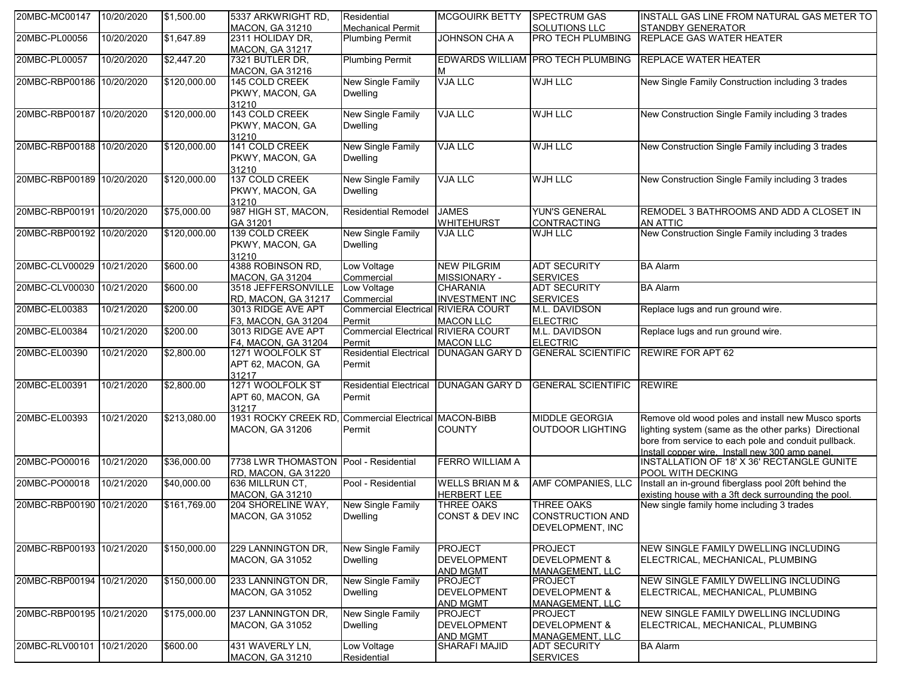| 20MBC-MC00147             | 10/20/2020 | \$1,500.00   | 5337 ARKWRIGHT RD,<br><b>MACON, GA 31210</b>  | Residential<br><b>Mechanical Permit</b>    | <b>MCGOUIRK BETTY</b>             | <b>SPECTRUM GAS</b><br><b>SOLUTIONS LLC</b> | INSTALL GAS LINE FROM NATURAL GAS METER TO<br><b>STANDBY GENERATOR</b>                         |
|---------------------------|------------|--------------|-----------------------------------------------|--------------------------------------------|-----------------------------------|---------------------------------------------|------------------------------------------------------------------------------------------------|
| 20MBC-PL00056             | 10/20/2020 | \$1,647.89   | 2311 HOLIDAY DR,                              | <b>Plumbing Permit</b>                     | JOHNSON CHA A                     | PRO TECH PLUMBING                           | <b>REPLACE GAS WATER HEATER</b>                                                                |
|                           |            |              | <b>MACON, GA 31217</b>                        |                                            |                                   |                                             |                                                                                                |
| 20MBC-PL00057             | 10/20/2020 | \$2,447.20   | 7321 BUTLER DR,                               | <b>Plumbing Permit</b>                     |                                   | EDWARDS WILLIAM PRO TECH PLUMBING           | <b>REPLACE WATER HEATER</b>                                                                    |
|                           |            |              | <b>MACON, GA 31216</b>                        |                                            | м                                 |                                             |                                                                                                |
| 20MBC-RBP00186 10/20/2020 |            | \$120,000.00 | 145 COLD CREEK                                | <b>New Single Family</b>                   | <b>VJA LLC</b>                    | <b>WJH LLC</b>                              | New Single Family Construction including 3 trades                                              |
|                           |            |              | PKWY, MACON, GA                               | <b>Dwelling</b>                            |                                   |                                             |                                                                                                |
|                           |            |              | 31210                                         |                                            |                                   |                                             |                                                                                                |
| 20MBC-RBP00187 10/20/2020 |            | \$120,000.00 | 143 COLD CREEK                                | <b>New Single Family</b>                   | <b>VJA LLC</b>                    | <b>WJH LLC</b>                              | New Construction Single Family including 3 trades                                              |
|                           |            |              | PKWY, MACON, GA                               | <b>Dwelling</b>                            |                                   |                                             |                                                                                                |
|                           |            |              | 31210                                         |                                            |                                   |                                             |                                                                                                |
| 20MBC-RBP00188 10/20/2020 |            | \$120,000.00 | 141 COLD CREEK                                | <b>New Single Family</b>                   | <b>VJA LLC</b>                    | <b>WJH LLC</b>                              | New Construction Single Family including 3 trades                                              |
|                           |            |              | PKWY, MACON, GA                               | <b>Dwelling</b>                            |                                   |                                             |                                                                                                |
|                           |            |              | 31210                                         |                                            |                                   |                                             |                                                                                                |
| 20MBC-RBP00189 10/20/2020 |            | \$120,000.00 | 137 COLD CREEK                                | <b>New Single Family</b>                   | <b>VJA LLC</b>                    | <b>WJH LLC</b>                              | New Construction Single Family including 3 trades                                              |
|                           |            |              | PKWY, MACON, GA                               | Dwelling                                   |                                   |                                             |                                                                                                |
|                           |            |              | 31210                                         |                                            |                                   |                                             |                                                                                                |
| 20MBC-RBP00191 10/20/2020 |            | \$75,000.00  | 987 HIGH ST, MACON,                           | <b>Residential Remodel</b>                 | <b>JAMES</b>                      | <b>YUN'S GENERAL</b>                        | REMODEL 3 BATHROOMS AND ADD A CLOSET IN                                                        |
|                           |            |              | GA 31201                                      |                                            | <b>WHITEHURST</b>                 | <b>CONTRACTING</b>                          | <b>AN ATTIC</b>                                                                                |
| 20MBC-RBP00192 10/20/2020 |            | \$120,000.00 | 139 COLD CREEK                                | <b>New Single Family</b>                   | <b>VJA LLC</b>                    | WJH LLC                                     | New Construction Single Family including 3 trades                                              |
|                           |            |              | PKWY, MACON, GA                               | <b>Dwelling</b>                            |                                   |                                             |                                                                                                |
|                           |            |              | 31210<br>4388 ROBINSON RD,                    |                                            | <b>NEW PILGRIM</b>                |                                             |                                                                                                |
| 20MBC-CLV00029            | 10/21/2020 | \$600.00     |                                               | Low Voltage                                |                                   | <b>ADT SECURITY</b>                         | <b>BA Alarm</b>                                                                                |
| 20MBC-CLV00030 10/21/2020 |            | \$600.00     | <b>MACON, GA 31204</b><br>3518 JEFFERSONVILLE | Commercial<br>Low Voltage                  | MISSIONARY -<br><b>CHARANIA</b>   | <b>SERVICES</b><br><b>ADT SECURITY</b>      | <b>BA Alarm</b>                                                                                |
|                           |            |              |                                               | Commercial                                 | <b>INVESTMENT INC</b>             | <b>SERVICES</b>                             |                                                                                                |
| 20MBC-EL00383             | 10/21/2020 | \$200.00     | RD, MACON, GA 31217<br>3013 RIDGE AVE APT     | <b>Commercial Electrical RIVIERA COURT</b> |                                   | M.L. DAVIDSON                               | Replace lugs and run ground wire.                                                              |
|                           |            |              | F3, MACON, GA 31204                           | Permit                                     | <b>MACON LLC</b>                  | <b>ELECTRIC</b>                             |                                                                                                |
| 20MBC-EL00384             | 10/21/2020 | \$200.00     | 3013 RIDGE AVE APT                            | Commercial Electrical RIVIERA COURT        |                                   | M.L. DAVIDSON                               | Replace lugs and run ground wire.                                                              |
|                           |            |              | F4, MACON, GA 31204                           | Permit                                     | <b>MACON LLC</b>                  | <b>ELECTRIC</b>                             |                                                                                                |
| 20MBC-EL00390             | 10/21/2020 | \$2,800.00   | 1271 WOOLFOLK ST                              | <b>Residential Electrical</b>              | <b>DUNAGAN GARY D</b>             | <b>GENERAL SCIENTIFIC</b>                   | <b>REWIRE FOR APT 62</b>                                                                       |
|                           |            |              | APT 62, MACON, GA                             | Permit                                     |                                   |                                             |                                                                                                |
|                           |            |              | 31217                                         |                                            |                                   |                                             |                                                                                                |
| 20MBC-EL00391             | 10/21/2020 | \$2,800.00   | 1271 WOOLFOLK ST                              | <b>Residential Electrical</b>              | <b>DUNAGAN GARY D</b>             | <b>GENERAL SCIENTIFIC REWIRE</b>            |                                                                                                |
|                           |            |              | APT 60, MACON, GA                             | Permit                                     |                                   |                                             |                                                                                                |
|                           |            |              | 31217                                         |                                            |                                   |                                             |                                                                                                |
| 20MBC-EL00393             | 10/21/2020 | \$213,080.00 | 1931 ROCKY CREEK RD                           | <b>Commercial Electrical MACON-BIBB</b>    |                                   | <b>MIDDLE GEORGIA</b>                       | Remove old wood poles and install new Musco sports                                             |
|                           |            |              | <b>MACON, GA 31206</b>                        | Permit                                     | <b>COUNTY</b>                     | OUTDOOR LIGHTING                            | lighting system (same as the other parks) Directional                                          |
|                           |            |              |                                               |                                            |                                   |                                             | bore from service to each pole and conduit pullback.                                           |
|                           |            |              |                                               |                                            |                                   |                                             | Install copper wire. Install new 300 amp panel.<br> INSTALLATION OF 18' X 36' RECTANGLE GUNITE |
| 20MBC-PO00016             | 10/21/2020 | \$36,000.00  | 7738 LWR THOMASTON                            | Pool - Residential                         | <b>FERRO WILLIAM A</b>            |                                             |                                                                                                |
|                           |            |              | RD, MACON, GA 31220                           |                                            |                                   |                                             | POOL WITH DECKING                                                                              |
| 20MBC-PO00018             | 10/21/2020 | \$40,000.00  | 636 MILLRUN CT,                               | Pool - Residential                         | <b>WELLS BRIAN M &amp;</b>        | AMF COMPANIES, LLC                          | Install an in-ground fiberglass pool 20ft behind the                                           |
|                           |            |              | <b>MACON, GA 31210</b>                        |                                            | <b>HERBERT LEE</b>                |                                             | existing house with a 3ft deck surrounding the pool.                                           |
| 20MBC-RBP00190 10/21/2020 |            | \$161,769.00 | 204 SHORELINE WAY,                            | <b>New Single Family</b>                   | <b>THREE OAKS</b>                 | <b>THREE OAKS</b>                           | New single family home including 3 trades                                                      |
|                           |            |              | MACON, GA 31052                               | Dwelling                                   | CONST & DEV INC                   | CONSTRUCTION AND                            |                                                                                                |
|                           |            |              |                                               |                                            |                                   | DEVELOPMENT, INC                            |                                                                                                |
|                           |            |              |                                               | <b>New Single Family</b>                   |                                   |                                             |                                                                                                |
| 20MBC-RBP00193 10/21/2020 |            | \$150,000.00 | 229 LANNINGTON DR,                            |                                            | <b>PROJECT</b>                    | <b>PROJECT</b>                              | NEW SINGLE FAMILY DWELLING INCLUDING                                                           |
|                           |            |              | <b>MACON, GA 31052</b>                        | Dwelling                                   | <b>DEVELOPMENT</b>                | <b>DEVELOPMENT &amp;</b>                    | ELECTRICAL, MECHANICAL, PLUMBING                                                               |
| 20MBC-RBP00194 10/21/2020 |            | \$150,000.00 | 233 LANNINGTON DR,                            | <b>New Single Family</b>                   | <b>AND MGMT</b><br><b>PROJECT</b> | <b>MANAGEMENT, LLC</b><br><b>PROJECT</b>    | NEW SINGLE FAMILY DWELLING INCLUDING                                                           |
|                           |            |              | <b>MACON, GA 31052</b>                        | <b>Dwelling</b>                            | <b>DEVELOPMENT</b>                | <b>DEVELOPMENT &amp;</b>                    | ELECTRICAL, MECHANICAL, PLUMBING                                                               |
|                           |            |              |                                               |                                            |                                   | <b>MANAGEMENT, LLC</b>                      |                                                                                                |
| 20MBC-RBP00195 10/21/2020 |            | \$175,000.00 | 237 LANNINGTON DR,                            | <b>New Single Family</b>                   | AND MGMT<br><b>PROJECT</b>        | <b>PROJECT</b>                              | NEW SINGLE FAMILY DWELLING INCLUDING                                                           |
|                           |            |              | MACON, GA 31052                               | <b>Dwelling</b>                            | DEVELOPMENT                       | <b>DEVELOPMENT &amp;</b>                    | ELECTRICAL, MECHANICAL, PLUMBING                                                               |
|                           |            |              |                                               |                                            | AND MGMT                          | MANAGEMENT, LLC                             |                                                                                                |
| 20MBC-RLV00101            | 10/21/2020 | \$600.00     | 431 WAVERLY LN,                               | Low Voltage                                | <b>SHARAFI MAJID</b>              | <b>ADT SECURITY</b>                         | <b>BA Alarm</b>                                                                                |
|                           |            |              | <b>MACON, GA 31210</b>                        | Residential                                |                                   | <b>SERVICES</b>                             |                                                                                                |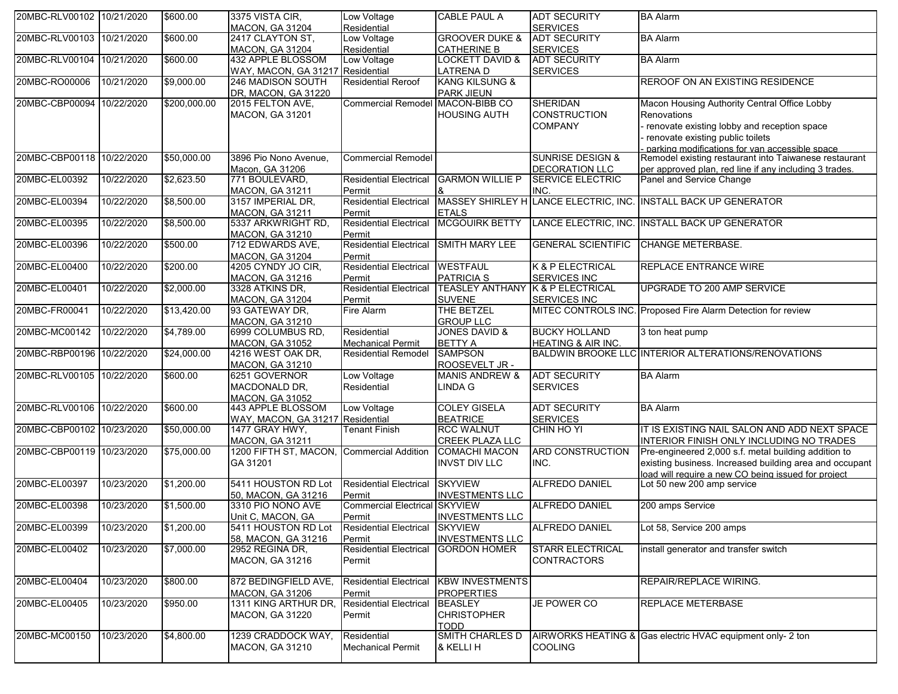| 20MBC-RLV00102 10/21/2020 |            | \$600.00     | 3375 VISTA CIR.                       | Low Voltage                             | <b>CABLE PAUL A</b>                         | <b>ADT SECURITY</b>           | <b>BA Alarm</b>                                                                                           |
|---------------------------|------------|--------------|---------------------------------------|-----------------------------------------|---------------------------------------------|-------------------------------|-----------------------------------------------------------------------------------------------------------|
|                           |            |              | <b>MACON, GA 31204</b>                | Residential                             |                                             | <b>SERVICES</b>               |                                                                                                           |
| 20MBC-RLV00103 10/21/2020 |            | \$600.00     | 2417 CLAYTON ST,                      | Low Voltage                             | <b>GROOVER DUKE &amp;</b>                   | <b>ADT SECURITY</b>           | <b>BA Alarm</b>                                                                                           |
|                           |            |              | <b>MACON, GA 31204</b>                | Residential                             | <b>CATHERINE B</b>                          | <b>SERVICES</b>               |                                                                                                           |
| 20MBC-RLV00104 10/21/2020 |            | \$600.00     | 432 APPLE BLOSSOM                     | Low Voltage                             | <b>LOCKETT DAVID &amp;</b>                  | <b>ADT SECURITY</b>           | <b>BA Alarm</b>                                                                                           |
|                           |            |              | WAY, MACON, GA 31217 Residential      |                                         | <b>LATRENAD</b>                             | <b>SERVICES</b>               |                                                                                                           |
| 20MBC-RO00006             | 10/21/2020 | \$9,000.00   | 246 MADISON SOUTH                     | <b>Residential Reroof</b>               | <b>KANG KILSUNG &amp;</b>                   |                               | <b>REROOF ON AN EXISTING RESIDENCE</b>                                                                    |
|                           |            |              | DR, MACON, GA 31220                   |                                         | <b>PARK JIEUN</b>                           |                               |                                                                                                           |
| 20MBC-CBP00094 10/22/2020 |            | \$200,000.00 | 2015 FELTON AVE,                      | <b>Commercial Remodel</b>               | MACON-BIBB CO                               | <b>SHERIDAN</b>               | Macon Housing Authority Central Office Lobby                                                              |
|                           |            |              | MACON, GA 31201                       |                                         | <b>HOUSING AUTH</b>                         | <b>CONSTRUCTION</b>           | Renovations                                                                                               |
|                           |            |              |                                       |                                         |                                             | <b>COMPANY</b>                | renovate existing lobby and reception space                                                               |
|                           |            |              |                                       |                                         |                                             |                               | - renovate existing public toilets                                                                        |
|                           |            |              |                                       |                                         |                                             |                               | - parking modifications for van accessible space<br>Remodel existing restaurant into Taiwanese restaurant |
| 20MBC-CBP00118 10/22/2020 |            | \$50,000.00  | 3896 Pio Nono Avenue,                 | <b>Commercial Remodel</b>               |                                             | <b>SUNRISE DESIGN &amp;</b>   |                                                                                                           |
|                           |            |              | Macon, GA 31206                       |                                         |                                             | DECORATION LLC                | per approved plan, red line if any including 3 trades.                                                    |
| 20MBC-EL00392             | 10/22/2020 | \$2,623.50   | 771 BOULEVARD,                        | <b>Residential Electrical</b>           | <b>GARMON WILLIE P</b>                      | <b>SERVICE ELECTRIC</b>       | Panel and Service Change                                                                                  |
|                           |            |              | <b>MACON, GA 31211</b>                | Permit<br><b>Residential Electrical</b> |                                             | INC.                          | MASSEY SHIRLEY H LANCE ELECTRIC, INC. INSTALL BACK UP GENERATOR                                           |
| 20MBC-EL00394             | 10/22/2020 | \$8,500.00   | 3157 IMPERIAL DR,                     |                                         |                                             |                               |                                                                                                           |
| 20MBC-EL00395             | 10/22/2020 | \$8,500.00   | MACON, GA 31211<br>5337 ARKWRIGHT RD, | Permit<br><b>Residential Electrical</b> | <b>ETALS</b><br><b>MCGOUIRK BETTY</b>       |                               | LANCE ELECTRIC, INC. INSTALL BACK UP GENERATOR                                                            |
|                           |            |              | <b>MACON, GA 31210</b>                | Permit                                  |                                             |                               |                                                                                                           |
| 20MBC-EL00396             | 10/22/2020 | \$500.00     | 712 EDWARDS AVE,                      | <b>Residential Electrical</b>           | <b>SMITH MARY LEE</b>                       | <b>GENERAL SCIENTIFIC</b>     | <b>CHANGE METERBASE.</b>                                                                                  |
|                           |            |              | <b>MACON, GA 31204</b>                | Permit                                  |                                             |                               |                                                                                                           |
| 20MBC-EL00400             | 10/22/2020 | \$200.00     | 4205 CYNDY JO CIR,                    | <b>Residential Electrical</b>           | <b>WESTFAUL</b>                             | <b>K &amp; P ELECTRICAL</b>   | <b>REPLACE ENTRANCE WIRE</b>                                                                              |
|                           |            |              | <b>MACON, GA 31216</b>                | Permit                                  | <b>PATRICIA S</b>                           | <b>SERVICES INC</b>           |                                                                                                           |
| 20MBC-EL00401             | 10/22/2020 | \$2,000.00   | 3328 ATKINS DR,                       | <b>Residential Electrical</b>           | <b>TEASLEY ANTHANY K &amp; P ELECTRICAL</b> |                               | UPGRADE TO 200 AMP SERVICE                                                                                |
|                           |            |              | <b>MACON, GA 31204</b>                | Permit                                  | <b>SUVENE</b>                               | <b>SERVICES INC</b>           |                                                                                                           |
| 20MBC-FR00041             | 10/22/2020 | \$13,420.00  | 93 GATEWAY DR,                        | Fire Alarm                              | THE BETZEL                                  |                               | MITEC CONTROLS INC. Proposed Fire Alarm Detection for review                                              |
|                           |            |              | <b>MACON, GA 31210</b>                |                                         | <b>GROUP LLC</b>                            |                               |                                                                                                           |
| 20MBC-MC00142             | 10/22/2020 | \$4,789.00   | 6999 COLUMBUS RD,                     | Residential                             | <b>JONES DAVID &amp;</b>                    | <b>BUCKY HOLLAND</b>          | 3 ton heat pump                                                                                           |
|                           |            |              | <b>MACON, GA 31052</b>                | <b>Mechanical Permit</b>                | <b>BETTY A</b>                              | <b>HEATING &amp; AIR INC.</b> |                                                                                                           |
| 20MBC-RBP00196 10/22/2020 |            | \$24,000.00  | 4216 WEST OAK DR,                     | <b>Residential Remodel</b>              | <b>SAMPSON</b>                              |                               | BALDWIN BROOKE LLC INTERIOR ALTERATIONS/RENOVATIONS                                                       |
|                           |            |              | <b>MACON, GA 31210</b>                |                                         | ROOSEVELT JR -                              |                               |                                                                                                           |
| 20MBC-RLV00105 10/22/2020 |            | \$600.00     | 6251 GOVERNOR                         | Low Voltage                             | <b>MANIS ANDREW &amp;</b>                   | <b>ADT SECURITY</b>           | <b>BA Alarm</b>                                                                                           |
|                           |            |              | MACDONALD DR,                         | Residential                             | LINDA G                                     | <b>SERVICES</b>               |                                                                                                           |
|                           |            |              | <b>MACON. GA 31052</b>                |                                         |                                             |                               |                                                                                                           |
| 20MBC-RLV00106 10/22/2020 |            | \$600.00     | 443 APPLE BLOSSOM                     | Low Voltage                             | <b>COLEY GISELA</b>                         | <b>ADT SECURITY</b>           | <b>BA</b> Alarm                                                                                           |
|                           |            |              | WAY, MACON, GA 31217                  | Residential                             | <b>BEATRICE</b>                             | <b>SERVICES</b>               |                                                                                                           |
| 20MBC-CBP00102 10/23/2020 |            | \$50,000.00  | 1477 GRAY HWY,                        | <b>Tenant Finish</b>                    | <b>RCC WALNUT</b>                           | CHIN HO YI                    | IT IS EXISTING NAIL SALON AND ADD NEXT SPACE                                                              |
|                           |            |              | <b>MACON, GA 31211</b>                |                                         | <b>CREEK PLAZA LLC</b>                      |                               | INTERIOR FINISH ONLY INCLUDING NO TRADES                                                                  |
| 20MBC-CBP00119 10/23/2020 |            | \$75,000.00  | 1200 FIFTH ST, MACON,                 | <b>Commercial Addition</b>              | <b>COMACHI MACON</b>                        | <b>ARD CONSTRUCTION</b>       | Pre-engineered 2,000 s.f. metal building addition to                                                      |
|                           |            |              | GA 31201                              |                                         | <b>INVST DIV LLC</b>                        | INC.                          | existing business. Increased building area and occupant                                                   |
|                           |            |              |                                       |                                         |                                             |                               | load will require a new CO being issued for project                                                       |
| 20MBC-EL00397             | 10/23/2020 | \$1,200.00   | 5411 HOUSTON RD Lot                   | <b>Residential Electrical</b>           | <b>SKYVIEW</b>                              | <b>ALFREDO DANIEL</b>         | Lot 50 new 200 amp service                                                                                |
|                           |            |              | 50, MACON, GA 31216                   | Permit                                  | <b>INVESTMENTS LLC</b>                      |                               |                                                                                                           |
| 20MBC-EL00398             | 10/23/2020 | \$1,500.00   | 3310 PIO NONO AVE                     | <b>Commercial Electrical</b>            | <b>SKYVIEW</b>                              | <b>ALFREDO DANIEL</b>         | 200 amps Service                                                                                          |
|                           |            |              | Unit C, MACON, GA                     | Permit                                  | <b>INVESTMENTS LLC</b>                      |                               |                                                                                                           |
| 20MBC-EL00399             | 10/23/2020 | \$1,200.00   | 5411 HOUSTON RD Lot                   | <b>Residential Electrical</b>           | <b>SKYVIEW</b>                              | ALFREDO DANIEL                | Lot 58, Service 200 amps                                                                                  |
|                           |            |              | 58, MACON, GA 31216                   | Permit                                  | <b>INVESTMENTS LLC</b>                      |                               |                                                                                                           |
| 20MBC-EL00402             | 10/23/2020 | \$7,000.00   | 2952 REGINA DR,                       | <b>Residential Electrical</b>           | <b>GORDON HOMER</b>                         | <b>STARR ELECTRICAL</b>       | install generator and transfer switch                                                                     |
|                           |            |              | <b>MACON, GA 31216</b>                | Permit                                  |                                             | <b>CONTRACTORS</b>            |                                                                                                           |
|                           |            |              |                                       |                                         |                                             |                               |                                                                                                           |
| 20MBC-EL00404             | 10/23/2020 | \$800.00     | 872 BEDINGFIELD AVE,                  | <b>Residential Electrical</b>           | <b>KBW INVESTMENTS</b>                      |                               | REPAIR/REPLACE WIRING.                                                                                    |
|                           |            |              | <b>MACON, GA 31206</b>                | Permit                                  | <b>PROPERTIES</b>                           |                               | <b>REPLACE METERBASE</b>                                                                                  |
| 20MBC-EL00405             | 10/23/2020 | \$950.00     | 1311 KING ARTHUR DR,                  | <b>Residential Electrical</b>           | <b>BEASLEY</b>                              | JE POWER CO                   |                                                                                                           |
|                           |            |              | <b>MACON, GA 31220</b>                | Permit                                  | <b>CHRISTOPHER</b>                          |                               |                                                                                                           |
| 20MBC-MC00150             | 10/23/2020 | \$4,800.00   | 1239 CRADDOCK WAY,                    | Residential                             | <b>TODD</b><br>SMITH CHARLES D              |                               | AIRWORKS HEATING & Gas electric HVAC equipment only- 2 ton                                                |
|                           |            |              | MACON, GA 31210                       | <b>Mechanical Permit</b>                | & KELLI H                                   | <b>COOLING</b>                |                                                                                                           |
|                           |            |              |                                       |                                         |                                             |                               |                                                                                                           |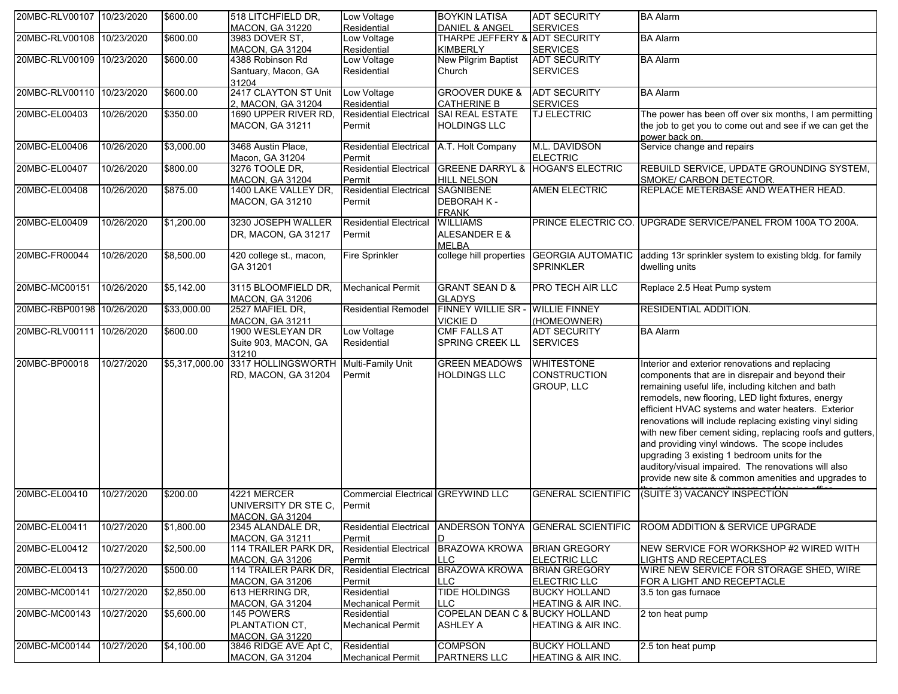| 20MBC-RLV00107 10/23/2020 |            | \$600.00       | 518 LITCHFIELD DR,                         | Low Voltage                           | <b>BOYKIN LATISA</b>                  | <b>ADT SECURITY</b>           | <b>BA Alarm</b>                                                            |
|---------------------------|------------|----------------|--------------------------------------------|---------------------------------------|---------------------------------------|-------------------------------|----------------------------------------------------------------------------|
|                           |            |                | <b>MACON, GA 31220</b>                     | Residential                           | <b>DANIEL &amp; ANGEL</b>             | <b>SERVICES</b>               |                                                                            |
| 20MBC-RLV00108 10/23/2020 |            | \$600.00       | 3983 DOVER ST,                             | Low Voltage                           | THARPE JEFFERY & ADT SECURITY         |                               | <b>BA Alarm</b>                                                            |
|                           |            |                | <b>MACON, GA 31204</b>                     | Residential                           | <b>KIMBERLY</b>                       | <b>SERVICES</b>               |                                                                            |
| 20MBC-RLV00109 10/23/2020 |            | \$600.00       | 4388 Robinson Rd                           | Low Voltage                           | New Pilgrim Baptist                   | <b>ADT SECURITY</b>           | <b>BA Alarm</b>                                                            |
|                           |            |                | Santuary, Macon, GA                        | Residential                           | Church                                | <b>SERVICES</b>               |                                                                            |
| 20MBC-RLV00110 10/23/2020 |            |                | 31204<br>2417 CLAYTON ST Unit              |                                       | <b>GROOVER DUKE &amp;</b>             |                               |                                                                            |
|                           |            | \$600.00       |                                            | Low Voltage                           |                                       | <b>ADT SECURITY</b>           | <b>BA Alarm</b>                                                            |
| 20MBC-EL00403             | 10/26/2020 | \$350.00       | 2, MACON, GA 31204<br>1690 UPPER RIVER RD, | Residential<br>Residential Electrical | <b>CATHERINE B</b><br>SAI REAL ESTATE | <b>SERVICES</b>               | The power has been off over six months, I am permitting                    |
|                           |            |                |                                            |                                       |                                       | TJ ELECTRIC                   |                                                                            |
|                           |            |                | MACON, GA 31211                            | Permit                                | <b>HOLDINGS LLC</b>                   |                               | the job to get you to come out and see if we can get the                   |
| 20MBC-EL00406             | 10/26/2020 | \$3,000.00     | 3468 Austin Place,                         | <b>Residential Electrical</b>         | A.T. Holt Company                     | M.L. DAVIDSON                 | power back on.<br>Service change and repairs                               |
|                           |            |                | Macon, GA 31204                            | Permit                                |                                       | <b>ELECTRIC</b>               |                                                                            |
| 20MBC-EL00407             | 10/26/2020 | \$800.00       | 3276 TOOLE DR,                             | <b>Residential Electrical</b>         | <b>GREENE DARRYL &amp;</b>            | <b>HOGAN'S ELECTRIC</b>       | REBUILD SERVICE, UPDATE GROUNDING SYSTEM,                                  |
|                           |            |                | MACON, GA 31204                            | Permit                                | <b>HILL NELSON</b>                    |                               | SMOKE/ CARBON DETECTOR.                                                    |
| 20MBC-EL00408             | 10/26/2020 | \$875.00       | 1400 LAKE VALLEY DR,                       | <b>Residential Electrical</b>         | <b>SAGNIBENE</b>                      | <b>AMEN ELECTRIC</b>          | REPLACE METERBASE AND WEATHER HEAD.                                        |
|                           |            |                | MACON, GA 31210                            | Permit                                | <b>DEBORAH K-</b>                     |                               |                                                                            |
|                           |            |                |                                            |                                       | <b>FRANK</b>                          |                               |                                                                            |
| 20MBC-EL00409             | 10/26/2020 | \$1,200.00     | 3230 JOSEPH WALLER                         | <b>Residential Electrical</b>         | <b>WILLIAMS</b>                       |                               | PRINCE ELECTRIC CO. UPGRADE SERVICE/PANEL FROM 100A TO 200A.               |
|                           |            |                | DR, MACON, GA 31217                        | Permit                                | ALESANDER E &                         |                               |                                                                            |
|                           |            |                |                                            |                                       | <b>MELBA</b>                          |                               |                                                                            |
| 20MBC-FR00044             | 10/26/2020 | \$8,500.00     | 420 college st., macon,                    | <b>Fire Sprinkler</b>                 | college hill properties               |                               | GEORGIA AUTOMATIC adding 13r sprinkler system to existing bldg. for family |
|                           |            |                | GA 31201                                   |                                       |                                       | <b>SPRINKLER</b>              | dwelling units                                                             |
|                           |            |                |                                            |                                       |                                       |                               |                                                                            |
| 20MBC-MC00151             | 10/26/2020 | \$5,142.00     | 3115 BLOOMFIELD DR,                        | Mechanical Permit                     | <b>GRANT SEAN D &amp;</b>             | PRO TECH AIR LLC              | Replace 2.5 Heat Pump system                                               |
|                           |            |                | <b>MACON, GA 31206</b>                     |                                       | <b>GLADYS</b>                         |                               |                                                                            |
| 20MBC-RBP00198 10/26/2020 |            | \$33,000.00    | 2527 MAFIEL DR,                            | <b>Residential Remodel</b>            | FINNEY WILLIE SR - WILLIE FINNEY      |                               | RESIDENTIAL ADDITION.                                                      |
|                           |            |                | <b>MACON, GA 31211</b>                     |                                       | <b>VICKIED</b>                        | (HOMEOWNER)                   |                                                                            |
| 20MBC-RLV00111            | 10/26/2020 | \$600.00       | 1900 WESLEYAN DR                           | Low Voltage                           | <b>CMF FALLS AT</b>                   | <b>ADT SECURITY</b>           | <b>BA Alarm</b>                                                            |
|                           |            |                | Suite 903, MACON, GA                       | Residential                           | SPRING CREEK LL                       | <b>SERVICES</b>               |                                                                            |
|                           |            |                | 31210                                      |                                       |                                       |                               |                                                                            |
| 20MBC-BP00018             | 10/27/2020 | \$5,317,000.00 | 3317 HOLLINGSWORTH                         | Multi-Family Unit                     | <b>GREEN MEADOWS</b>                  | <b>WHITESTONE</b>             | Interior and exterior renovations and replacing                            |
|                           |            |                | RD, MACON, GA 31204                        | Permit                                | <b>HOLDINGS LLC</b>                   | <b>CONSTRUCTION</b>           | components that are in disrepair and beyond their                          |
|                           |            |                |                                            |                                       |                                       | GROUP, LLC                    | remaining useful life, including kitchen and bath                          |
|                           |            |                |                                            |                                       |                                       |                               | remodels, new flooring, LED light fixtures, energy                         |
|                           |            |                |                                            |                                       |                                       |                               | efficient HVAC systems and water heaters. Exterior                         |
|                           |            |                |                                            |                                       |                                       |                               | renovations will include replacing existing vinyl siding                   |
|                           |            |                |                                            |                                       |                                       |                               | with new fiber cement siding, replacing roofs and gutters,                 |
|                           |            |                |                                            |                                       |                                       |                               | and providing vinyl windows. The scope includes                            |
|                           |            |                |                                            |                                       |                                       |                               | upgrading 3 existing 1 bedroom units for the                               |
|                           |            |                |                                            |                                       |                                       |                               | auditory/visual impaired. The renovations will also                        |
|                           |            |                |                                            |                                       |                                       |                               |                                                                            |
|                           |            |                |                                            |                                       |                                       |                               | provide new site & common amenities and upgrades to                        |
| 20MBC-EL00410             | 10/27/2020 | \$200.00       | 4221 MERCER                                | Commercial Electrical GREYWIND LLC    |                                       | <b>GENERAL SCIENTIFIC</b>     | (SUITE 3) VACANCY INSPECTION                                               |
|                           |            |                | UNIVERSITY DR STE C.                       | Permit                                |                                       |                               |                                                                            |
|                           |            |                | <b>MACON. GA 31204</b>                     |                                       |                                       |                               |                                                                            |
| 20MBC-EL00411             | 10/27/2020 | \$1,800.00     | 2345 ALANDALE DR,                          | Residential Electrical                | <b>ANDERSON TONYA</b>                 | <b>GENERAL SCIENTIFIC</b>     | <b>ROOM ADDITION &amp; SERVICE UPGRADE</b>                                 |
|                           |            |                | <b>MACON, GA 31211</b>                     | Permit                                |                                       |                               |                                                                            |
| 20MBC-EL00412             | 10/27/2020 | \$2,500.00     | 114 TRAILER PARK DR,                       | <b>Residential Electrical</b>         | <b>BRAZOWA KROWA</b>                  | <b>BRIAN GREGORY</b>          | NEW SERVICE FOR WORKSHOP #2 WIRED WITH                                     |
|                           |            |                | <b>MACON, GA 31206</b>                     | Permit                                | <b>LLC</b>                            | <b>ELECTRIC LLC</b>           | <b>IGHTS AND RECEPTACLES</b>                                               |
| 20MBC-EL00413             | 10/27/2020 | \$500.00       | 114 TRAILER PARK DR,                       | <b>Residential Electrical</b>         | <b>BRAZOWA KROWA</b>                  | <b>BRIAN GREGORY</b>          | WIRE NEW SERVICE FOR STORAGE SHED, WIRE                                    |
|                           |            |                | <b>MACON, GA 31206</b>                     | Permit                                | LLC                                   | <b>ELECTRIC LLC</b>           | FOR A LIGHT AND RECEPTACLE                                                 |
| 20MBC-MC00141             | 10/27/2020 | \$2,850.00     | 613 HERRING DR,                            | Residential                           | <b>TIDE HOLDINGS</b>                  | <b>BUCKY HOLLAND</b>          | 3.5 ton gas furnace                                                        |
|                           |            |                | <b>MACON, GA 31204</b>                     | Mechanical Permit                     | <b>LLC</b>                            | <b>HEATING &amp; AIR INC.</b> |                                                                            |
| 20MBC-MC00143             | 10/27/2020 | \$5,600.00     | 145 POWERS                                 | Residential                           | COPELAN DEAN C & BUCKY HOLLAND        |                               | 2 ton heat pump                                                            |
|                           |            |                | PLANTATION CT,                             | <b>Mechanical Permit</b>              | <b>ASHLEY A</b>                       | HEATING & AIR INC.            |                                                                            |
|                           |            |                | <b>MACON, GA 31220</b>                     |                                       |                                       |                               |                                                                            |
| 20MBC-MC00144             | 10/27/2020 | \$4,100.00     | 3846 RIDGE AVE Apt C,                      | Residential                           | <b>COMPSON</b>                        | <b>BUCKY HOLLAND</b>          | 2.5 ton heat pump                                                          |
|                           |            |                | <b>MACON, GA 31204</b>                     | <b>Mechanical Permit</b>              | <b>PARTNERS LLC</b>                   | HEATING & AIR INC.            |                                                                            |